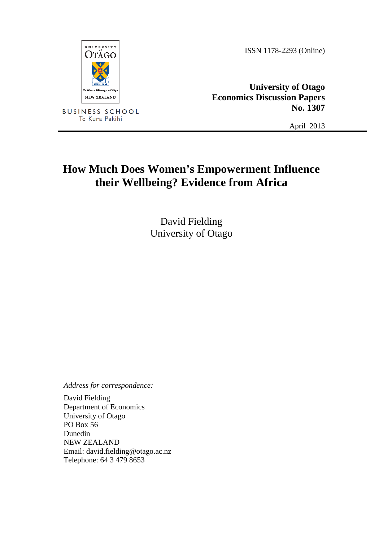**UNIVERSITY** OTÄGO wa o Otãei NEW ZEALAND

**BUSINESS SCHOOL** Te Kura Pakihi

ISSN 1178-2293 (Online)

**University of Otago Economics Discussion Papers No. 1307**

April 2013

# **How Much Does Women's Empowerment Influence their Wellbeing? Evidence from Africa**

David Fielding University of Otago

*Address for correspondence:*

David Fielding Department of Economics University of Otago PO Box 56 Dunedin NEW ZEALAND Email: david.fielding@otago.ac.nz Telephone: 64 3 479 8653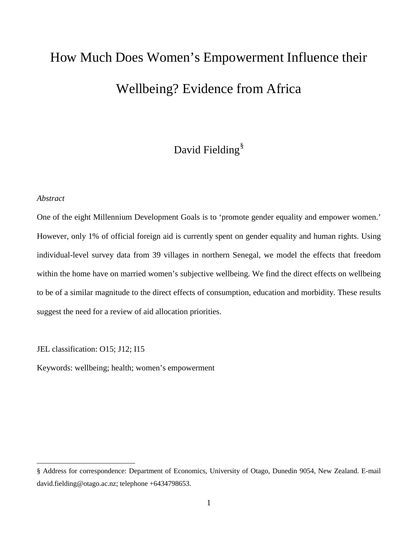# How Much Does Women's Empowerment Influence their Wellbeing? Evidence from Africa

# David Fielding<sup>[§](#page-1-0)</sup>

#### *Abstract*

ı

One of the eight Millennium Development Goals is to 'promote gender equality and empower women.' However, only 1% of official foreign aid is currently spent on gender equality and human rights. Using individual-level survey data from 39 villages in northern Senegal, we model the effects that freedom within the home have on married women's subjective wellbeing. We find the direct effects on wellbeing to be of a similar magnitude to the direct effects of consumption, education and morbidity. These results suggest the need for a review of aid allocation priorities.

JEL classification: O15; J12; I15

Keywords: wellbeing; health; women's empowerment

<span id="page-1-0"></span><sup>§</sup> Address for correspondence: Department of Economics, University of Otago, Dunedin 9054, New Zealand. E-mail david.fielding@otago.ac.nz; telephone +6434798653.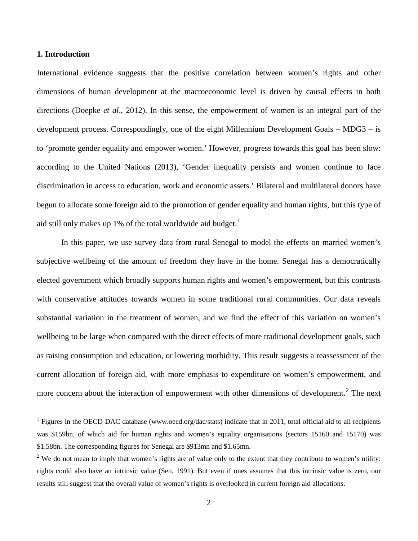#### **1. Introduction**

ı

International evidence suggests that the positive correlation between women's rights and other dimensions of human development at the macroeconomic level is driven by causal effects in both directions (Doepke *et al*., 2012). In this sense, the empowerment of women is an integral part of the development process. Correspondingly, one of the eight Millennium Development Goals – MDG3 – is to 'promote gender equality and empower women.' However, progress towards this goal has been slow: according to the United Nations (2013), 'Gender inequality persists and women continue to face discrimination in access to education, work and economic assets.' Bilateral and multilateral donors have begun to allocate some foreign aid to the promotion of gender equality and human rights, but this type of aid still only makes up [1](#page-2-0)% of the total worldwide aid budget.<sup>1</sup>

In this paper, we use survey data from rural Senegal to model the effects on married women's subjective wellbeing of the amount of freedom they have in the home. Senegal has a democratically elected government which broadly supports human rights and women's empowerment, but this contrasts with conservative attitudes towards women in some traditional rural communities. Our data reveals substantial variation in the treatment of women, and we find the effect of this variation on women's wellbeing to be large when compared with the direct effects of more traditional development goals, such as raising consumption and education, or lowering morbidity. This result suggests a reassessment of the current allocation of foreign aid, with more emphasis to expenditure on women's empowerment, and more concern about the interaction of empowerment with other dimensions of development.<sup>[2](#page-2-1)</sup> The next

<span id="page-2-0"></span><sup>&</sup>lt;sup>1</sup> Figures in the OECD-DAC database (www.oecd.org/dac/stats) indicate that in 2011, total official aid to all recipients was \$159bn, of which aid for human rights and women's equality organisations (sectors 15160 and 15170) was \$1.58bn. The corresponding figures for Senegal are \$913mn and \$1.65mn.

<span id="page-2-1"></span> $2$  We do not mean to imply that women's rights are of value only to the extent that they contribute to women's utility: rights could also have an intrinsic value (Sen, 1991). But even if ones assumes that this intrinsic value is zero, our results still suggest that the overall value of women's rights is overlooked in current foreign aid allocations.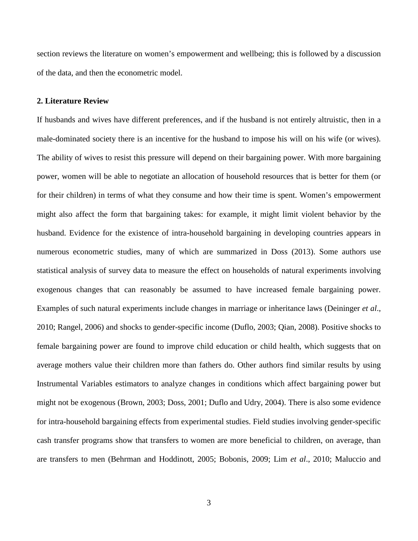section reviews the literature on women's empowerment and wellbeing; this is followed by a discussion of the data, and then the econometric model.

#### **2. Literature Review**

If husbands and wives have different preferences, and if the husband is not entirely altruistic, then in a male-dominated society there is an incentive for the husband to impose his will on his wife (or wives). The ability of wives to resist this pressure will depend on their bargaining power. With more bargaining power, women will be able to negotiate an allocation of household resources that is better for them (or for their children) in terms of what they consume and how their time is spent. Women's empowerment might also affect the form that bargaining takes: for example, it might limit violent behavior by the husband. Evidence for the existence of intra-household bargaining in developing countries appears in numerous econometric studies, many of which are summarized in Doss (2013). Some authors use statistical analysis of survey data to measure the effect on households of natural experiments involving exogenous changes that can reasonably be assumed to have increased female bargaining power. Examples of such natural experiments include changes in marriage or inheritance laws (Deininger *et al*., 2010; Rangel, 2006) and shocks to gender-specific income (Duflo, 2003; Qian, 2008). Positive shocks to female bargaining power are found to improve child education or child health, which suggests that on average mothers value their children more than fathers do. Other authors find similar results by using Instrumental Variables estimators to analyze changes in conditions which affect bargaining power but might not be exogenous (Brown, 2003; Doss, 2001; Duflo and Udry, 2004). There is also some evidence for intra-household bargaining effects from experimental studies. Field studies involving gender-specific cash transfer programs show that transfers to women are more beneficial to children, on average, than are transfers to men (Behrman and Hoddinott, 2005; Bobonis, 2009; Lim *et al*., 2010; Maluccio and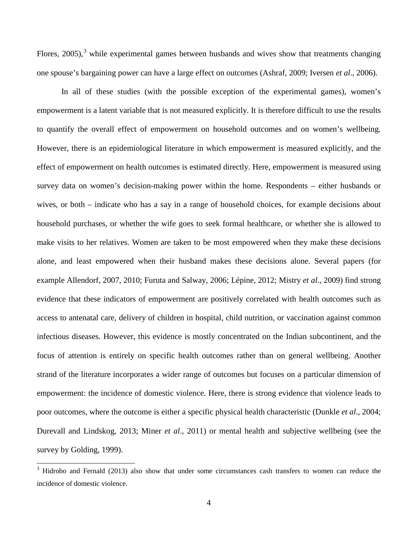Flores,  $2005$ ),  $3$  while experimental games between husbands and wives show that treatments changing one spouse's bargaining power can have a large effect on outcomes (Ashraf, 2009; Iversen *et al*., 2006).

In all of these studies (with the possible exception of the experimental games), women's empowerment is a latent variable that is not measured explicitly. It is therefore difficult to use the results to quantify the overall effect of empowerment on household outcomes and on women's wellbeing. However, there is an epidemiological literature in which empowerment is measured explicitly, and the effect of empowerment on health outcomes is estimated directly. Here, empowerment is measured using survey data on women's decision-making power within the home. Respondents – either husbands or wives, or both – indicate who has a say in a range of household choices, for example decisions about household purchases, or whether the wife goes to seek formal healthcare, or whether she is allowed to make visits to her relatives. Women are taken to be most empowered when they make these decisions alone, and least empowered when their husband makes these decisions alone. Several papers (for example Allendorf, 2007, 2010; Furuta and Salway, 2006; Lépine, 2012; Mistry *et al*., 2009) find strong evidence that these indicators of empowerment are positively correlated with health outcomes such as access to antenatal care, delivery of children in hospital, child nutrition, or vaccination against common infectious diseases. However, this evidence is mostly concentrated on the Indian subcontinent, and the focus of attention is entirely on specific health outcomes rather than on general wellbeing. Another strand of the literature incorporates a wider range of outcomes but focuses on a particular dimension of empowerment: the incidence of domestic violence. Here, there is strong evidence that violence leads to poor outcomes, where the outcome is either a specific physical health characteristic (Dunkle *et al*., 2004; Durevall and Lindskog, 2013; Miner *et al*., 2011) or mental health and subjective wellbeing (see the survey by Golding, 1999).

ı

<span id="page-4-0"></span> $3$  Hidrobo and Fernald (2013) also show that under some circumstances cash transfers to women can reduce the incidence of domestic violence.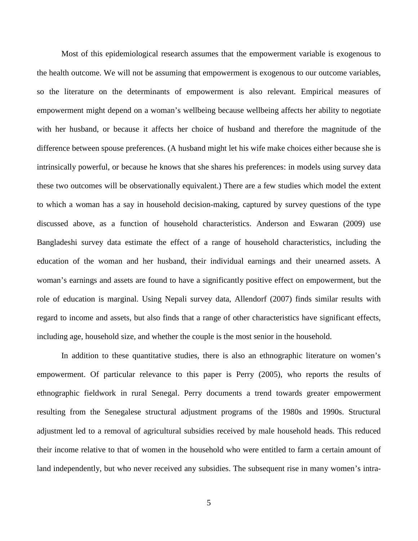Most of this epidemiological research assumes that the empowerment variable is exogenous to the health outcome. We will not be assuming that empowerment is exogenous to our outcome variables, so the literature on the determinants of empowerment is also relevant. Empirical measures of empowerment might depend on a woman's wellbeing because wellbeing affects her ability to negotiate with her husband, or because it affects her choice of husband and therefore the magnitude of the difference between spouse preferences. (A husband might let his wife make choices either because she is intrinsically powerful, or because he knows that she shares his preferences: in models using survey data these two outcomes will be observationally equivalent.) There are a few studies which model the extent to which a woman has a say in household decision-making, captured by survey questions of the type discussed above, as a function of household characteristics. Anderson and Eswaran (2009) use Bangladeshi survey data estimate the effect of a range of household characteristics, including the education of the woman and her husband, their individual earnings and their unearned assets. A woman's earnings and assets are found to have a significantly positive effect on empowerment, but the role of education is marginal. Using Nepali survey data, Allendorf (2007) finds similar results with regard to income and assets, but also finds that a range of other characteristics have significant effects, including age, household size, and whether the couple is the most senior in the household.

In addition to these quantitative studies, there is also an ethnographic literature on women's empowerment. Of particular relevance to this paper is Perry (2005), who reports the results of ethnographic fieldwork in rural Senegal. Perry documents a trend towards greater empowerment resulting from the Senegalese structural adjustment programs of the 1980s and 1990s. Structural adjustment led to a removal of agricultural subsidies received by male household heads. This reduced their income relative to that of women in the household who were entitled to farm a certain amount of land independently, but who never received any subsidies. The subsequent rise in many women's intra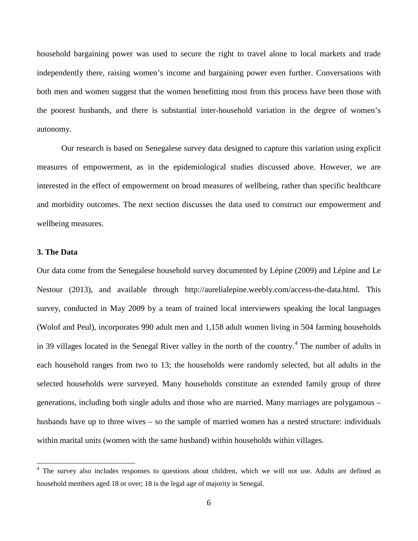household bargaining power was used to secure the right to travel alone to local markets and trade independently there, raising women's income and bargaining power even further. Conversations with both men and women suggest that the women benefitting most from this process have been those with the poorest husbands, and there is substantial inter-household variation in the degree of women's autonomy.

Our research is based on Senegalese survey data designed to capture this variation using explicit measures of empowerment, as in the epidemiological studies discussed above. However, we are interested in the effect of empowerment on broad measures of wellbeing, rather than specific healthcare and morbidity outcomes. The next section discusses the data used to construct our empowerment and wellbeing measures.

### **3. The Data**

ı

Our data come from the Senegalese household survey documented by Lépine (2009) and Lépine and Le Nestour (2013), and available through http://aurelialepine.weebly.com/access-the-data.html. This survey, conducted in May 2009 by a team of trained local interviewers speaking the local languages (Wolof and Peul), incorporates 990 adult men and 1,158 adult women living in 504 farming households in 39 villages located in the Senegal River valley in the north of the country.<sup>[4](#page-6-0)</sup> The number of adults in each household ranges from two to 13; the households were randomly selected, but all adults in the selected households were surveyed. Many households constitute an extended family group of three generations, including both single adults and those who are married. Many marriages are polygamous – husbands have up to three wives – so the sample of married women has a nested structure: individuals within marital units (women with the same husband) within households within villages.

<span id="page-6-0"></span><sup>&</sup>lt;sup>4</sup> The survey also includes responses to questions about children, which we will not use. Adults are defined as household members aged 18 or over; 18 is the legal age of majority in Senegal.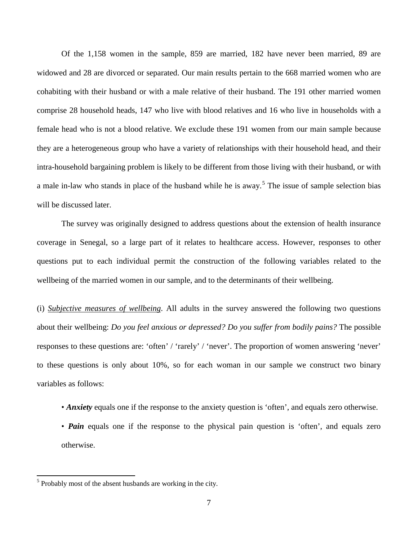Of the 1,158 women in the sample, 859 are married, 182 have never been married, 89 are widowed and 28 are divorced or separated. Our main results pertain to the 668 married women who are cohabiting with their husband or with a male relative of their husband. The 191 other married women comprise 28 household heads, 147 who live with blood relatives and 16 who live in households with a female head who is not a blood relative. We exclude these 191 women from our main sample because they are a heterogeneous group who have a variety of relationships with their household head, and their intra-household bargaining problem is likely to be different from those living with their husband, or with a male in-law who stands in place of the husband while he is away.<sup>[5](#page-7-0)</sup> The issue of sample selection bias will be discussed later.

The survey was originally designed to address questions about the extension of health insurance coverage in Senegal, so a large part of it relates to healthcare access. However, responses to other questions put to each individual permit the construction of the following variables related to the wellbeing of the married women in our sample, and to the determinants of their wellbeing.

(i) *Subjective measures of wellbeing*. All adults in the survey answered the following two questions about their wellbeing: *Do you feel anxious or depressed? Do you suffer from bodily pains?* The possible responses to these questions are: 'often' / 'rarely' / 'never'. The proportion of women answering 'never' to these questions is only about 10%, so for each woman in our sample we construct two binary variables as follows:

- *Anxiety* equals one if the response to the anxiety question is 'often', and equals zero otherwise.
- *Pain* equals one if the response to the physical pain question is 'often', and equals zero otherwise.

ı

<span id="page-7-0"></span> $<sup>5</sup>$  Probably most of the absent husbands are working in the city.</sup>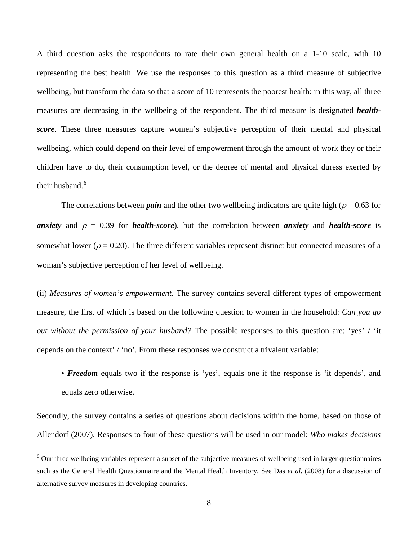A third question asks the respondents to rate their own general health on a 1-10 scale, with 10 representing the best health. We use the responses to this question as a third measure of subjective wellbeing, but transform the data so that a score of 10 represents the poorest health: in this way, all three measures are decreasing in the wellbeing of the respondent. The third measure is designated *healthscore*. These three measures capture women's subjective perception of their mental and physical wellbeing, which could depend on their level of empowerment through the amount of work they or their children have to do, their consumption level, or the degree of mental and physical duress exerted by their husband.<sup>[6](#page-8-0)</sup>

The correlations between *pain* and the other two wellbeing indicators are quite high ( $\rho = 0.63$  for *anxiety* and  $\rho = 0.39$  for *health-score*), but the correlation between *anxiety* and *health-score* is somewhat lower ( $\rho = 0.20$ ). The three different variables represent distinct but connected measures of a woman's subjective perception of her level of wellbeing.

(ii) *Measures of women's empowerment*. The survey contains several different types of empowerment measure, the first of which is based on the following question to women in the household: *Can you go out without the permission of your husband?* The possible responses to this question are: 'yes' / 'it depends on the context' / 'no'. From these responses we construct a trivalent variable:

• *Freedom* equals two if the response is 'yes', equals one if the response is 'it depends', and equals zero otherwise.

Secondly, the survey contains a series of questions about decisions within the home, based on those of Allendorf (2007). Responses to four of these questions will be used in our model: *Who makes decisions* 

 $\overline{\phantom{0}}$ 

<span id="page-8-0"></span><sup>&</sup>lt;sup>6</sup> Our three wellbeing variables represent a subset of the subjective measures of wellbeing used in larger questionnaires such as the General Health Questionnaire and the Mental Health Inventory. See Das *et al*. (2008) for a discussion of alternative survey measures in developing countries.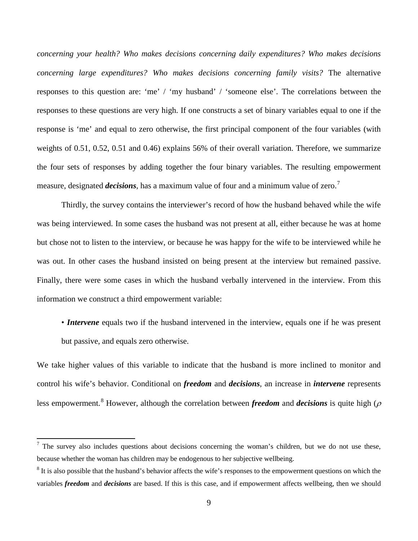*concerning your health? Who makes decisions concerning daily expenditures? Who makes decisions concerning large expenditures? Who makes decisions concerning family visits?* The alternative responses to this question are: 'me' / 'my husband' / 'someone else'. The correlations between the responses to these questions are very high. If one constructs a set of binary variables equal to one if the response is 'me' and equal to zero otherwise, the first principal component of the four variables (with weights of 0.51, 0.52, 0.51 and 0.46) explains 56% of their overall variation. Therefore, we summarize the four sets of responses by adding together the four binary variables. The resulting empowerment measure, designated *decisions*, has a maximum value of four and a minimum value of zero.<sup>[7](#page-9-0)</sup>

Thirdly, the survey contains the interviewer's record of how the husband behaved while the wife was being interviewed. In some cases the husband was not present at all, either because he was at home but chose not to listen to the interview, or because he was happy for the wife to be interviewed while he was out. In other cases the husband insisted on being present at the interview but remained passive. Finally, there were some cases in which the husband verbally intervened in the interview. From this information we construct a third empowerment variable:

• *Intervene* equals two if the husband intervened in the interview, equals one if he was present but passive, and equals zero otherwise.

We take higher values of this variable to indicate that the husband is more inclined to monitor and control his wife's behavior. Conditional on *freedom* and *decisions*, an increase in *intervene* represents less empowerment.<sup>[8](#page-9-1)</sup> However, although the correlation between *freedom* and *decisions* is quite high ( $\rho$ )

ı

<span id="page-9-0"></span><sup>7</sup> The survey also includes questions about decisions concerning the woman's children, but we do not use these, because whether the woman has children may be endogenous to her subjective wellbeing.

<span id="page-9-1"></span> $8$  It is also possible that the husband's behavior affects the wife's responses to the empowerment questions on which the variables *freedom* and *decisions* are based. If this is this case, and if empowerment affects wellbeing, then we should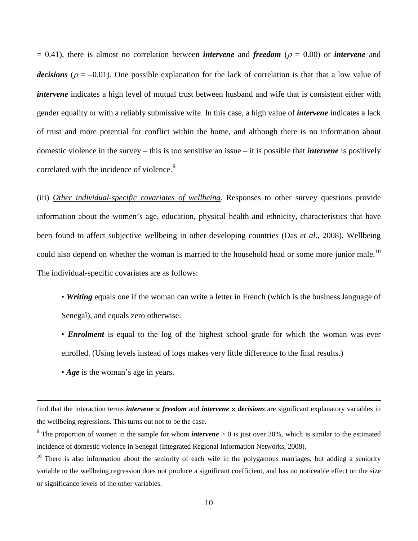$= 0.41$ ), there is almost no correlation between *intervene* and *freedom* ( $\rho = 0.00$ ) or *intervene* and *decisions* ( $\rho = -0.01$ ). One possible explanation for the lack of correlation is that that a low value of *intervene* indicates a high level of mutual trust between husband and wife that is consistent either with gender equality or with a reliably submissive wife. In this case, a high value of *intervene* indicates a lack of trust and more potential for conflict within the home, and although there is no information about domestic violence in the survey – this is too sensitive an issue – it is possible that *intervene* is positively correlated with the incidence of violence.<sup>[9](#page-10-0)</sup>

(iii) *Other individual-specific covariates of wellbeing*. Responses to other survey questions provide information about the women's age, education, physical health and ethnicity, characteristics that have been found to affect subjective wellbeing in other developing countries (Das *et al*., 2008). Wellbeing could also depend on whether the woman is married to the household head or some more junior male.<sup>[10](#page-10-1)</sup> The individual-specific covariates are as follows:

- *Writing* equals one if the woman can write a letter in French (which is the business language of Senegal), and equals zero otherwise.
- *Enrolment* is equal to the log of the highest school grade for which the woman was ever enrolled. (Using levels instead of logs makes very little difference to the final results.)
- *Age* is the woman's age in years.

 $\overline{\phantom{0}}$ 

find that the interaction terms *intervene* × *freedom* and *intervene* × *decisions* are significant explanatory variables in the wellbeing regressions. This turns out not to be the case.

<span id="page-10-0"></span><sup>&</sup>lt;sup>9</sup> The proportion of women in the sample for whom *intervene*  $> 0$  is just over 30%, which is similar to the estimated incidence of domestic violence in Senegal (Integrated Regional Information Networks, 2008).

<span id="page-10-1"></span> $10$  There is also information about the seniority of each wife in the polygamous marriages, but adding a seniority variable to the wellbeing regression does not produce a significant coefficient, and has no noticeable effect on the size or significance levels of the other variables.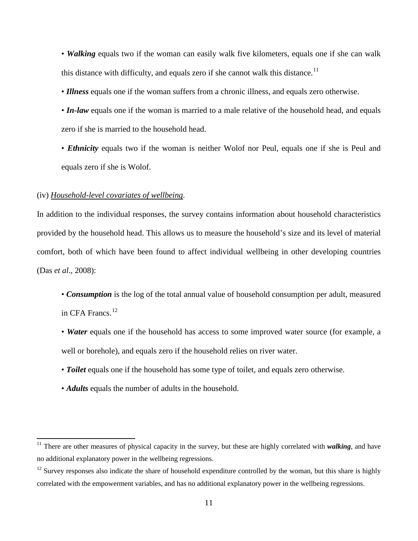• *Walking* equals two if the woman can easily walk five kilometers, equals one if she can walk this distance with difficulty, and equals zero if she cannot walk this distance.<sup>[11](#page-11-0)</sup>

• *Illness* equals one if the woman suffers from a chronic illness, and equals zero otherwise.

• *In-law* equals one if the woman is married to a male relative of the household head, and equals zero if she is married to the household head.

• *Ethnicity* equals two if the woman is neither Wolof nor Peul, equals one if she is Peul and equals zero if she is Wolof.

#### (iv) *Household-level covariates of wellbeing*.

ı

In addition to the individual responses, the survey contains information about household characteristics provided by the household head. This allows us to measure the household's size and its level of material comfort, both of which have been found to affect individual wellbeing in other developing countries (Das *et al*., 2008):

- *Consumption* is the log of the total annual value of household consumption per adult, measured in CFA Francs.<sup>[12](#page-11-1)</sup>
- *Water* equals one if the household has access to some improved water source (for example, a well or borehole), and equals zero if the household relies on river water.
- *Toilet* equals one if the household has some type of toilet, and equals zero otherwise.
- *Adults* equals the number of adults in the household.

<span id="page-11-0"></span><sup>&</sup>lt;sup>11</sup> There are other measures of physical capacity in the survey, but these are highly correlated with *walking*, and have no additional explanatory power in the wellbeing regressions.

<span id="page-11-1"></span> $12$  Survey responses also indicate the share of household expenditure controlled by the woman, but this share is highly correlated with the empowerment variables, and has no additional explanatory power in the wellbeing regressions.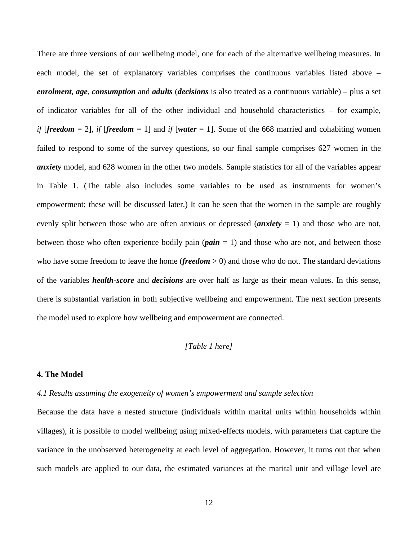There are three versions of our wellbeing model, one for each of the alternative wellbeing measures. In each model, the set of explanatory variables comprises the continuous variables listed above – *enrolment*, *age*, *consumption* and *adults* (*decisions* is also treated as a continuous variable) – plus a set of indicator variables for all of the other individual and household characteristics – for example, *if [freedom* = 2], *if [freedom* = 1] and *if [water* = 1]. Some of the 668 married and cohabiting women failed to respond to some of the survey questions, so our final sample comprises 627 women in the *anxiety* model, and 628 women in the other two models. Sample statistics for all of the variables appear in Table 1. (The table also includes some variables to be used as instruments for women's empowerment; these will be discussed later.) It can be seen that the women in the sample are roughly evenly split between those who are often anxious or depressed (*anxiety* = 1) and those who are not, between those who often experience bodily pain  $(\textit{pair} = 1)$  and those who are not, and between those who have some freedom to leave the home (*freedom*  $> 0$ ) and those who do not. The standard deviations of the variables *health-score* and *decisions* are over half as large as their mean values. In this sense, there is substantial variation in both subjective wellbeing and empowerment. The next section presents the model used to explore how wellbeing and empowerment are connected.

#### *[Table 1 here]*

#### **4. The Model**

#### *4.1 Results assuming the exogeneity of women's empowerment and sample selection*

Because the data have a nested structure (individuals within marital units within households within villages), it is possible to model wellbeing using mixed-effects models, with parameters that capture the variance in the unobserved heterogeneity at each level of aggregation. However, it turns out that when such models are applied to our data, the estimated variances at the marital unit and village level are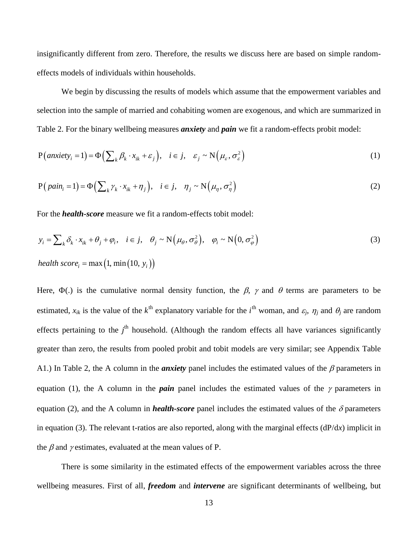insignificantly different from zero. Therefore, the results we discuss here are based on simple randomeffects models of individuals within households.

We begin by discussing the results of models which assume that the empowerment variables and selection into the sample of married and cohabiting women are exogenous, and which are summarized in Table 2. For the binary wellbeing measures *anxiety* and *pain* we fit a random-effects probit model:

$$
P\big( \text{anxiety}_i = 1 \big) = \Phi\Big( \sum_{k} \beta_k \cdot x_{ik} + \varepsilon_j \Big), \quad i \in j, \quad \varepsilon_j \sim N\Big( \mu_{\varepsilon}, \sigma_{\varepsilon}^2 \Big) \tag{1}
$$

$$
P\left(\text{pain}_i = 1\right) = \Phi\left(\sum_{k} \gamma_k \cdot x_{ik} + \eta_j\right), \quad i \in j, \quad \eta_j \sim N\left(\mu_\eta, \sigma_\eta^2\right) \tag{2}
$$

For the *health-score* measure we fit a random-effects tobit model:

$$
y_i = \sum_k \delta_k \cdot x_{ik} + \theta_j + \varphi_i, \quad i \in j, \quad \theta_j \sim N(\mu_\theta, \sigma_\theta^2), \quad \varphi_i \sim N(0, \sigma_\varphi^2)
$$
  
 
$$
h \in \mathcal{A} \text{ such that } \rho_i = \max(1, \min(10, y_i))
$$
 (3)

Here,  $\Phi(.)$  is the cumulative normal density function, the  $\beta$ ,  $\gamma$  and  $\theta$  terms are parameters to be estimated,  $x_{ik}$  is the value of the  $k^{\text{th}}$  explanatory variable for the  $i^{\text{th}}$  woman, and  $\varepsilon_j$ ,  $\eta_j$  and  $\theta_j$  are random effects pertaining to the  $j<sup>th</sup>$  household. (Although the random effects all have variances significantly greater than zero, the results from pooled probit and tobit models are very similar; see Appendix Table A1.) In Table 2, the A column in the *anxiety* panel includes the estimated values of the β parameters in equation (1), the A column in the *pain* panel includes the estimated values of the  $\gamma$  parameters in equation (2), and the A column in *health-score* panel includes the estimated values of the  $\delta$  parameters in equation (3). The relevant t-ratios are also reported, along with the marginal effects (dP/d*x*) implicit in the  $\beta$  and  $\gamma$  estimates, evaluated at the mean values of P.

There is some similarity in the estimated effects of the empowerment variables across the three wellbeing measures. First of all, *freedom* and *intervene* are significant determinants of wellbeing, but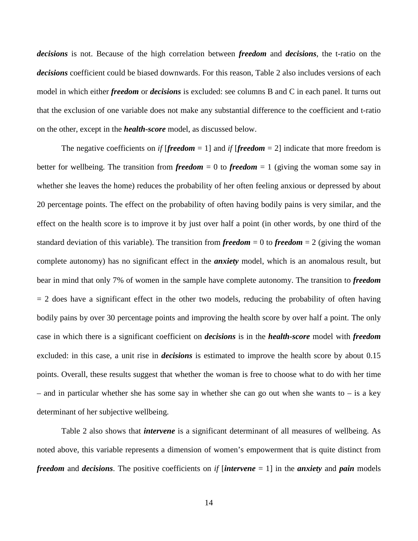*decisions* is not. Because of the high correlation between *freedom* and *decisions*, the t-ratio on the *decisions* coefficient could be biased downwards. For this reason, Table 2 also includes versions of each model in which either *freedom* or *decisions* is excluded: see columns B and C in each panel. It turns out that the exclusion of one variable does not make any substantial difference to the coefficient and t-ratio on the other, except in the *health-score* model, as discussed below.

The negative coefficients on *if* [*freedom* = 1] and *if* [*freedom* = 2] indicate that more freedom is better for wellbeing. The transition from *freedom* = 0 to *freedom* = 1 (giving the woman some say in whether she leaves the home) reduces the probability of her often feeling anxious or depressed by about 20 percentage points. The effect on the probability of often having bodily pains is very similar, and the effect on the health score is to improve it by just over half a point (in other words, by one third of the standard deviation of this variable). The transition from *freedom* = 0 to *freedom* = 2 (giving the woman complete autonomy) has no significant effect in the *anxiety* model, which is an anomalous result, but bear in mind that only 7% of women in the sample have complete autonomy. The transition to *freedom*  $= 2$  does have a significant effect in the other two models, reducing the probability of often having bodily pains by over 30 percentage points and improving the health score by over half a point. The only case in which there is a significant coefficient on *decisions* is in the *health-score* model with *freedom* excluded: in this case, a unit rise in *decisions* is estimated to improve the health score by about 0.15 points. Overall, these results suggest that whether the woman is free to choose what to do with her time – and in particular whether she has some say in whether she can go out when she wants to – is a key determinant of her subjective wellbeing.

Table 2 also shows that *intervene* is a significant determinant of all measures of wellbeing. As noted above, this variable represents a dimension of women's empowerment that is quite distinct from *freedom* and *decisions*. The positive coefficients on *if* [*intervene* = 1] in the *anxiety* and *pain* models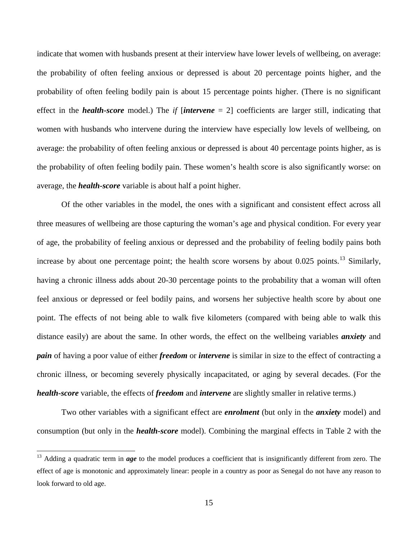indicate that women with husbands present at their interview have lower levels of wellbeing, on average: the probability of often feeling anxious or depressed is about 20 percentage points higher, and the probability of often feeling bodily pain is about 15 percentage points higher. (There is no significant effect in the *health-score* model.) The *if* [*intervene* = 2] coefficients are larger still, indicating that women with husbands who intervene during the interview have especially low levels of wellbeing, on average: the probability of often feeling anxious or depressed is about 40 percentage points higher, as is the probability of often feeling bodily pain. These women's health score is also significantly worse: on average, the *health-score* variable is about half a point higher.

Of the other variables in the model, the ones with a significant and consistent effect across all three measures of wellbeing are those capturing the woman's age and physical condition. For every year of age, the probability of feeling anxious or depressed and the probability of feeling bodily pains both increase by about one percentage point; the health score worsens by about 0.025 points.<sup>[13](#page-15-0)</sup> Similarly, having a chronic illness adds about 20-30 percentage points to the probability that a woman will often feel anxious or depressed or feel bodily pains, and worsens her subjective health score by about one point. The effects of not being able to walk five kilometers (compared with being able to walk this distance easily) are about the same. In other words, the effect on the wellbeing variables *anxiety* and *pain* of having a poor value of either *freedom* or *intervene* is similar in size to the effect of contracting a chronic illness, or becoming severely physically incapacitated, or aging by several decades. (For the *health-score* variable, the effects of *freedom* and *intervene* are slightly smaller in relative terms.)

Two other variables with a significant effect are *enrolment* (but only in the *anxiety* model) and consumption (but only in the *health-score* model). Combining the marginal effects in Table 2 with the

 $\overline{\phantom{0}}$ 

<span id="page-15-0"></span><sup>&</sup>lt;sup>13</sup> Adding a quadratic term in *age* to the model produces a coefficient that is insignificantly different from zero. The effect of age is monotonic and approximately linear: people in a country as poor as Senegal do not have any reason to look forward to old age.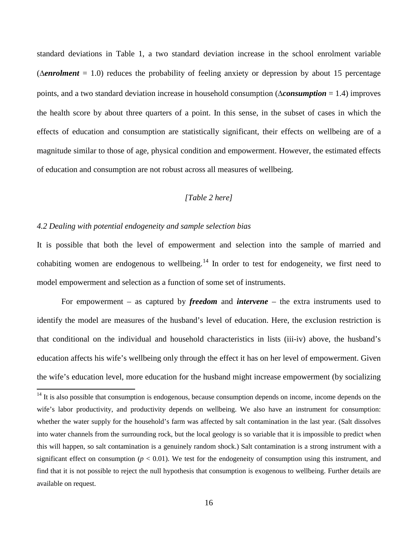standard deviations in Table 1, a two standard deviation increase in the school enrolment variable (∆*enrolment* = 1.0) reduces the probability of feeling anxiety or depression by about 15 percentage points, and a two standard deviation increase in household consumption (∆*consumption* = 1.4) improves the health score by about three quarters of a point. In this sense, in the subset of cases in which the effects of education and consumption are statistically significant, their effects on wellbeing are of a magnitude similar to those of age, physical condition and empowerment. However, the estimated effects of education and consumption are not robust across all measures of wellbeing.

#### *[Table 2 here]*

#### *4.2 Dealing with potential endogeneity and sample selection bias*

ı

It is possible that both the level of empowerment and selection into the sample of married and cohabiting women are endogenous to wellbeing.<sup>[14](#page-16-0)</sup> In order to test for endogeneity, we first need to model empowerment and selection as a function of some set of instruments.

For empowerment – as captured by *freedom* and *intervene* – the extra instruments used to identify the model are measures of the husband's level of education. Here, the exclusion restriction is that conditional on the individual and household characteristics in lists (iii-iv) above, the husband's education affects his wife's wellbeing only through the effect it has on her level of empowerment. Given the wife's education level, more education for the husband might increase empowerment (by socializing

<span id="page-16-0"></span> $14$  It is also possible that consumption is endogenous, because consumption depends on income, income depends on the wife's labor productivity, and productivity depends on wellbeing. We also have an instrument for consumption: whether the water supply for the household's farm was affected by salt contamination in the last year. (Salt dissolves into water channels from the surrounding rock, but the local geology is so variable that it is impossible to predict when this will happen, so salt contamination is a genuinely random shock.) Salt contamination is a strong instrument with a significant effect on consumption ( $p < 0.01$ ). We test for the endogeneity of consumption using this instrument, and find that it is not possible to reject the null hypothesis that consumption is exogenous to wellbeing. Further details are available on request.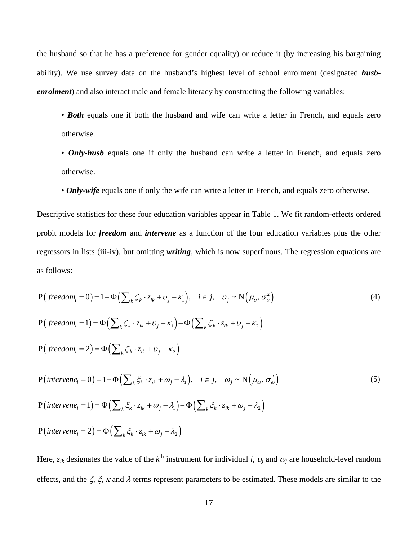the husband so that he has a preference for gender equality) or reduce it (by increasing his bargaining ability). We use survey data on the husband's highest level of school enrolment (designated *husbenrolment*) and also interact male and female literacy by constructing the following variables:

- **Both** equals one if both the husband and wife can write a letter in French, and equals zero otherwise.
- *Only-husb* equals one if only the husband can write a letter in French, and equals zero otherwise.
- *Only-wife* equals one if only the wife can write a letter in French, and equals zero otherwise.

Descriptive statistics for these four education variables appear in Table 1. We fit random-effects ordered probit models for *freedom* and *intervene* as a function of the four education variables plus the other regressors in lists (iii-iv), but omitting *writing*, which is now superfluous. The regression equations are as follows:

$$
P\left(\text{freedom}_i = 0\right) = 1 - \Phi\left(\sum_{k} \zeta_k \cdot z_{ik} + \nu_j - \kappa_1\right), \quad i \in j, \quad \nu_j \sim N\left(\mu_v, \sigma_v^2\right)
$$
\n
$$
P\left(\text{freedom}_i = 1\right) = \Phi\left(\sum_{k} \zeta_k \cdot z_{ik} + \nu_j - \kappa_1\right) - \Phi\left(\sum_{k} \zeta_k \cdot z_{ik} + \nu_j - \kappa_2\right)
$$
\n
$$
P\left(\text{freedom}_i = 2\right) = \Phi\left(\sum_{k} \zeta_k \cdot z_{ik} + \nu_j - \kappa_2\right)
$$
\n
$$
P\left(\text{intervene}_i = 0\right) = 1 - \Phi\left(\sum_{k} \zeta_k \cdot z_{ik} + \omega_j - \lambda_1\right), \quad i \in j, \quad \omega_j \sim N\left(\mu_\omega, \sigma_\omega^2\right)
$$
\n
$$
P\left(\text{intervene}_i = 1\right) = \Phi\left(\sum_{k} \zeta_k \cdot z_{ik} + \omega_j - \lambda_1\right) - \Phi\left(\sum_{k} \zeta_k \cdot z_{ik} + \omega_j - \lambda_2\right)
$$
\n
$$
P\left(\text{intervene}_i = 2\right) = \Phi\left(\sum_{k} \zeta_k \cdot z_{ik} + \omega_j - \lambda_2\right)
$$
\n
$$
(5)
$$

Here,  $z_{ik}$  designates the value of the  $k^{\text{th}}$  instrument for individual *i*,  $v_j$  and  $\omega_j$  are household-level random effects, and the  $\zeta$ ,  $\xi$ ,  $\kappa$  and  $\lambda$  terms represent parameters to be estimated. These models are similar to the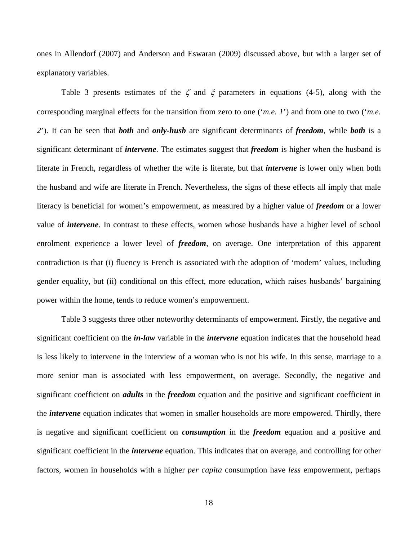ones in Allendorf (2007) and Anderson and Eswaran (2009) discussed above, but with a larger set of explanatory variables.

Table 3 presents estimates of the  $\zeta$  and  $\xi$  parameters in equations (4-5), along with the corresponding marginal effects for the transition from zero to one ('*m.e. 1*') and from one to two ('*m.e. 2*'). It can be seen that *both* and *only-husb* are significant determinants of *freedom*, while *both* is a significant determinant of *intervene*. The estimates suggest that *freedom* is higher when the husband is literate in French, regardless of whether the wife is literate, but that *intervene* is lower only when both the husband and wife are literate in French. Nevertheless, the signs of these effects all imply that male literacy is beneficial for women's empowerment, as measured by a higher value of *freedom* or a lower value of *intervene*. In contrast to these effects, women whose husbands have a higher level of school enrolment experience a lower level of *freedom*, on average. One interpretation of this apparent contradiction is that (i) fluency is French is associated with the adoption of 'modern' values, including gender equality, but (ii) conditional on this effect, more education, which raises husbands' bargaining power within the home, tends to reduce women's empowerment.

Table 3 suggests three other noteworthy determinants of empowerment. Firstly, the negative and significant coefficient on the *in-law* variable in the *intervene* equation indicates that the household head is less likely to intervene in the interview of a woman who is not his wife. In this sense, marriage to a more senior man is associated with less empowerment, on average. Secondly, the negative and significant coefficient on *adults* in the *freedom* equation and the positive and significant coefficient in the *intervene* equation indicates that women in smaller households are more empowered. Thirdly, there is negative and significant coefficient on *consumption* in the *freedom* equation and a positive and significant coefficient in the *intervene* equation. This indicates that on average, and controlling for other factors, women in households with a higher *per capita* consumption have *less* empowerment, perhaps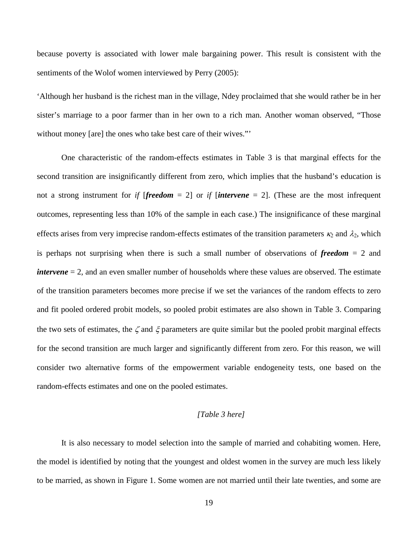because poverty is associated with lower male bargaining power. This result is consistent with the sentiments of the Wolof women interviewed by Perry (2005):

'Although her husband is the richest man in the village, Ndey proclaimed that she would rather be in her sister's marriage to a poor farmer than in her own to a rich man. Another woman observed, "Those without money [are] the ones who take best care of their wives."'

One characteristic of the random-effects estimates in Table 3 is that marginal effects for the second transition are insignificantly different from zero, which implies that the husband's education is not a strong instrument for *if* [*freedom* = 2] or *if* [*intervene* = 2]. (These are the most infrequent outcomes, representing less than 10% of the sample in each case.) The insignificance of these marginal effects arises from very imprecise random-effects estimates of the transition parameters  $\kappa_2$  and  $\lambda_2$ , which is perhaps not surprising when there is such a small number of observations of *freedom* = 2 and *intervene* = 2, and an even smaller number of households where these values are observed. The estimate of the transition parameters becomes more precise if we set the variances of the random effects to zero and fit pooled ordered probit models, so pooled probit estimates are also shown in Table 3. Comparing the two sets of estimates, the  $\zeta$  and  $\xi$  parameters are quite similar but the pooled probit marginal effects for the second transition are much larger and significantly different from zero. For this reason, we will consider two alternative forms of the empowerment variable endogeneity tests, one based on the random-effects estimates and one on the pooled estimates.

#### *[Table 3 here]*

It is also necessary to model selection into the sample of married and cohabiting women. Here, the model is identified by noting that the youngest and oldest women in the survey are much less likely to be married, as shown in Figure 1. Some women are not married until their late twenties, and some are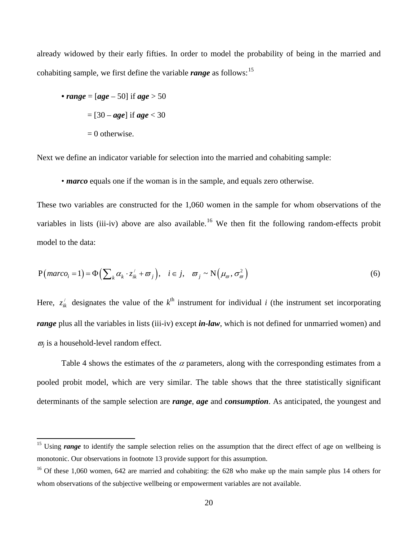already widowed by their early fifties. In order to model the probability of being in the married and cohabiting sample, we first define the variable *range* as follows:<sup>[15](#page-20-0)</sup>

• range = 
$$
[age - 50]
$$
 if age > 50  
=  $[30 - age]$  if age < 30  
= 0 otherwise.

ı

Next we define an indicator variable for selection into the married and cohabiting sample:

• *marco* equals one if the woman is in the sample, and equals zero otherwise.

These two variables are constructed for the 1,060 women in the sample for whom observations of the variables in lists (iii-iv) above are also available.<sup>[16](#page-20-1)</sup> We then fit the following random-effects probit model to the data:

$$
P\big(\text{macro}_i = 1\big) = \Phi\Big(\sum_k \alpha_k \cdot z_{ik}^{\'} + \varpi_j\Big), \quad i \in j, \quad \varpi_j \sim N\Big(\mu_\varpi, \sigma_\varpi^2\Big) \tag{6}
$$

Here,  $z_{ik}^j$  designates the value of the  $k^{\text{th}}$  instrument for individual *i* (the instrument set incorporating *range* plus all the variables in lists (iii-iv) except *in-law*, which is not defined for unmarried women) and  $\overline{\omega_i}$  is a household-level random effect.

Table 4 shows the estimates of the  $\alpha$  parameters, along with the corresponding estimates from a pooled probit model, which are very similar. The table shows that the three statistically significant determinants of the sample selection are *range*, *age* and *consumption*. As anticipated, the youngest and

<span id="page-20-0"></span><sup>&</sup>lt;sup>15</sup> Using *range* to identify the sample selection relies on the assumption that the direct effect of age on wellbeing is monotonic. Our observations in footnote 13 provide support for this assumption.

<span id="page-20-1"></span><sup>&</sup>lt;sup>16</sup> Of these 1,060 women, 642 are married and cohabiting: the 628 who make up the main sample plus 14 others for whom observations of the subjective wellbeing or empowerment variables are not available.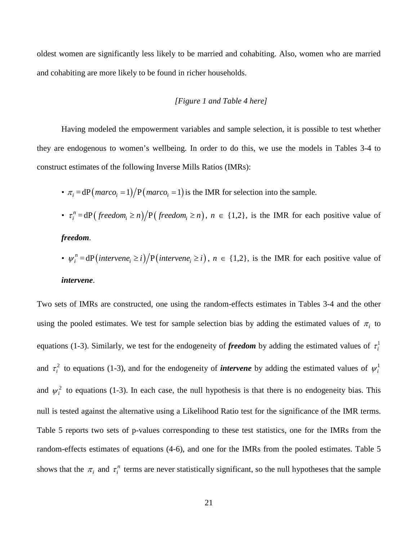oldest women are significantly less likely to be married and cohabiting. Also, women who are married and cohabiting are more likely to be found in richer households.

#### *[Figure 1 and Table 4 here]*

Having modeled the empowerment variables and sample selection, it is possible to test whether they are endogenous to women's wellbeing. In order to do this, we use the models in Tables 3-4 to construct estimates of the following Inverse Mills Ratios (IMRs):

- $\pi_i = dP(maxco_i = 1)/P(maxco_i = 1)$  is the IMR for selection into the sample.
- $\tau_i^n = dP(\text{freedom}_i \ge n)/P(\text{freedom}_i \ge n), n \in \{1,2\}, \text{ is the IMR for each positive value of}$ *freedom.*
- $\psi_i^n = dP\left(intervene_i \geq i\right) / P\left(intervene_i \geq i\right), n \in \{1,2\},\$ is the IMR for each positive value of

*intervene*.

Two sets of IMRs are constructed, one using the random-effects estimates in Tables 3-4 and the other using the pooled estimates. We test for sample selection bias by adding the estimated values of  $\pi_i$  to equations (1-3). Similarly, we test for the endogeneity of *freedom* by adding the estimated values of  $\tau_i^1$ and  $\tau_i^2$  to equations (1-3), and for the endogeneity of *intervene* by adding the estimated values of  $\psi_i^1$ and  $\psi_i^2$  to equations (1-3). In each case, the null hypothesis is that there is no endogeneity bias. This null is tested against the alternative using a Likelihood Ratio test for the significance of the IMR terms. Table 5 reports two sets of p-values corresponding to these test statistics, one for the IMRs from the random-effects estimates of equations (4-6), and one for the IMRs from the pooled estimates. Table 5 shows that the  $\pi_i$  and  $\tau_i^n$  terms are never statistically significant, so the null hypotheses that the sample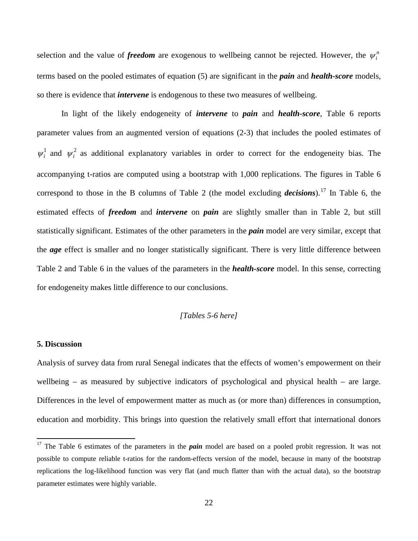selection and the value of *freedom* are exogenous to wellbeing cannot be rejected. However, the  $\psi_i^n$ terms based on the pooled estimates of equation (5) are significant in the *pain* and *health-score* models, so there is evidence that *intervene* is endogenous to these two measures of wellbeing.

In light of the likely endogeneity of *intervene* to *pain* and *health-score*, Table 6 reports parameter values from an augmented version of equations (2-3) that includes the pooled estimates of  $\psi_i^1$  and  $\psi_i^2$  as additional explanatory variables in order to correct for the endogeneity bias. The accompanying t-ratios are computed using a bootstrap with 1,000 replications. The figures in Table 6 correspond to those in the B columns of Table 2 (the model excluding *decisions*).[17](#page-22-0) In Table 6, the estimated effects of *freedom* and *intervene* on *pain* are slightly smaller than in Table 2, but still statistically significant. Estimates of the other parameters in the *pain* model are very similar, except that the *age* effect is smaller and no longer statistically significant. There is very little difference between Table 2 and Table 6 in the values of the parameters in the *health-score* model. In this sense, correcting for endogeneity makes little difference to our conclusions.

#### *[Tables 5-6 here]*

#### **5. Discussion**

ı

Analysis of survey data from rural Senegal indicates that the effects of women's empowerment on their wellbeing – as measured by subjective indicators of psychological and physical health – are large. Differences in the level of empowerment matter as much as (or more than) differences in consumption, education and morbidity. This brings into question the relatively small effort that international donors

<span id="page-22-0"></span><sup>&</sup>lt;sup>17</sup> The Table 6 estimates of the parameters in the *pain* model are based on a pooled probit regression. It was not possible to compute reliable t-ratios for the random-effects version of the model, because in many of the bootstrap replications the log-likelihood function was very flat (and much flatter than with the actual data), so the bootstrap parameter estimates were highly variable.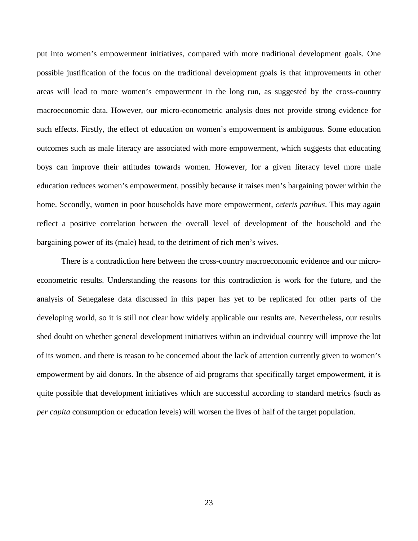put into women's empowerment initiatives, compared with more traditional development goals. One possible justification of the focus on the traditional development goals is that improvements in other areas will lead to more women's empowerment in the long run, as suggested by the cross-country macroeconomic data. However, our micro-econometric analysis does not provide strong evidence for such effects. Firstly, the effect of education on women's empowerment is ambiguous. Some education outcomes such as male literacy are associated with more empowerment, which suggests that educating boys can improve their attitudes towards women. However, for a given literacy level more male education reduces women's empowerment, possibly because it raises men's bargaining power within the home. Secondly, women in poor households have more empowerment, *ceteris paribus*. This may again reflect a positive correlation between the overall level of development of the household and the bargaining power of its (male) head, to the detriment of rich men's wives.

There is a contradiction here between the cross-country macroeconomic evidence and our microeconometric results. Understanding the reasons for this contradiction is work for the future, and the analysis of Senegalese data discussed in this paper has yet to be replicated for other parts of the developing world, so it is still not clear how widely applicable our results are. Nevertheless, our results shed doubt on whether general development initiatives within an individual country will improve the lot of its women, and there is reason to be concerned about the lack of attention currently given to women's empowerment by aid donors. In the absence of aid programs that specifically target empowerment, it is quite possible that development initiatives which are successful according to standard metrics (such as *per capita* consumption or education levels) will worsen the lives of half of the target population.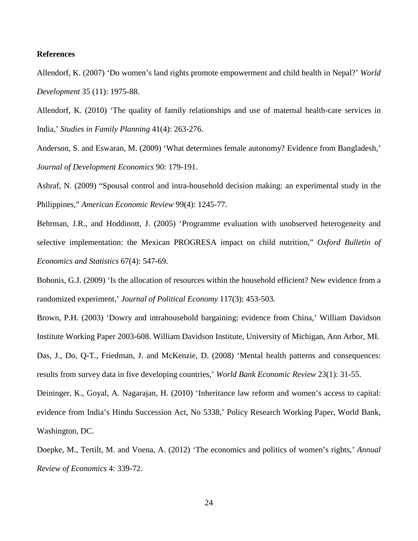#### **References**

Allendorf, K. (2007) 'Do women's land rights promote empowerment and child health in Nepal?' *World Development* 35 (11): 1975-88.

Allendorf, K. (2010) 'The quality of family relationships and use of maternal health-care services in India,' *Studies in Family Planning* 41(4): 263-276.

Anderson, S. and Eswaran, M. (2009) 'What determines female autonomy? Evidence from Bangladesh,' *Journal of Development Economics* 90: 179-191.

Ashraf, N. (2009) "Spousal control and intra-household decision making: an experimental study in the Philippines," *American Economic Review* 99(4): 1245-77.

Behrman, J.R., and Hoddinott, J. (2005) 'Programme evaluation with unobserved heterogeneity and selective implementation: the Mexican PROGRESA impact on child nutrition," *Oxford Bulletin of Economics and Statistics* 67(4): 547-69.

Bobonis, G.J. (2009) 'Is the allocation of resources within the household efficient? New evidence from a randomized experiment,' *Journal of Political Economy* 117(3): 453-503.

Brown, P.H. (2003) 'Dowry and intrahousehold bargaining: evidence from China,' William Davidson Institute Working Paper 2003-608. William Davidson Institute, University of Michigan, Ann Arbor, MI. Das, J., Do, Q-T., Friedman, J. and McKenzie, D. (2008) 'Mental health patterns and consequences: results from survey data in five developing countries,' *World Bank Economic Review* 23(1): 31-55.

Deininger, K., Goyal, A. Nagarajan, H. (2010) 'Inheritance law reform and women's access to capital: evidence from India's Hindu Succession Act, No 5338,' Policy Research Working Paper, World Bank, Washington, DC.

Doepke, M., Tertilt, M. and Voena, A. (2012) 'The economics and politics of women's rights,' *Annual Review of Economics* 4: 339-72.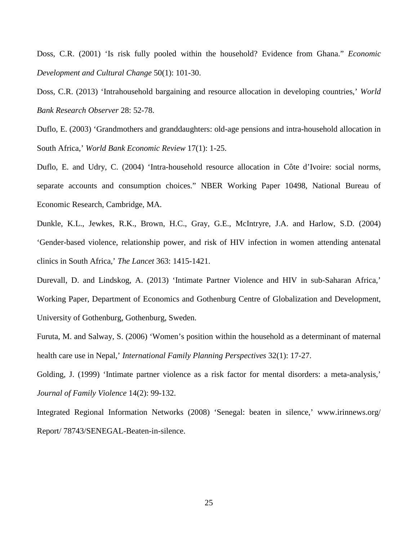Doss, C.R. (2001) 'Is risk fully pooled within the household? Evidence from Ghana." *Economic Development and Cultural Change* 50(1): 101-30.

Doss, C.R. (2013) 'Intrahousehold bargaining and resource allocation in developing countries,' *World Bank Research Observer* 28: 52-78.

Duflo, E. (2003) 'Grandmothers and granddaughters: old-age pensions and intra-household allocation in South Africa,' *World Bank Economic Review* 17(1): 1-25.

Duflo, E. and Udry, C. (2004) 'Intra-household resource allocation in Côte d'Ivoire: social norms, separate accounts and consumption choices." NBER Working Paper 10498, National Bureau of Economic Research, Cambridge, MA.

Dunkle, K.L., Jewkes, R.K., Brown, H.C., Gray, G.E., McIntryre, J.A. and Harlow, S.D. (2004) 'Gender-based violence, relationship power, and risk of HIV infection in women attending antenatal clinics in South Africa,' *The Lancet* 363: 1415-1421.

Durevall, D. and Lindskog, A. (2013) 'Intimate Partner Violence and HIV in sub-Saharan Africa,' Working Paper, Department of Economics and Gothenburg Centre of Globalization and Development, University of Gothenburg, Gothenburg, Sweden.

Furuta, M. and Salway, S. (2006) 'Women's position within the household as a determinant of maternal health care use in Nepal,' *International Family Planning Perspectives* 32(1): 17-27.

Golding, J. (1999) 'Intimate partner violence as a risk factor for mental disorders: a meta-analysis,' *Journal of Family Violence* 14(2): 99-132.

Integrated Regional Information Networks (2008) 'Senegal: beaten in silence,' www.irinnews.org/ Report/ 78743/SENEGAL-Beaten-in-silence.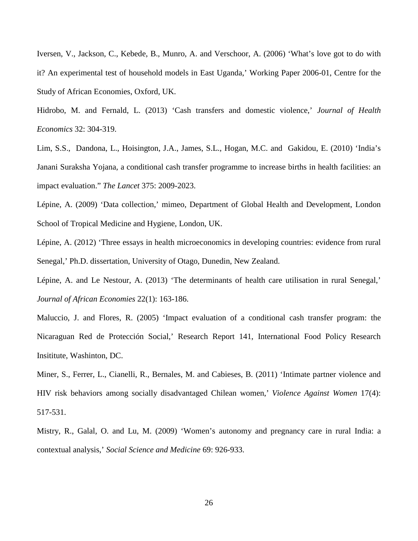Iversen, V., Jackson, C., Kebede, B., Munro, A. and Verschoor, A. (2006) 'What's love got to do with it? An experimental test of household models in East Uganda,' Working Paper 2006-01, Centre for the Study of African Economies, Oxford, UK.

Hidrobo, M. and Fernald, L. (2013) 'Cash transfers and domestic violence,' *Journal of Health Economics* 32: 304-319.

Lim, S.S., Dandona, L., Hoisington, J.A., James, S.L., Hogan, M.C. and Gakidou, E. (2010) 'India's Janani Suraksha Yojana, a conditional cash transfer programme to increase births in health facilities: an impact evaluation." *The Lancet* 375: 2009-2023.

Lépine, A. (2009) 'Data collection,' mimeo, Department of Global Health and Development, London School of Tropical Medicine and Hygiene, London, UK.

Lépine, A. (2012) 'Three essays in health microeconomics in developing countries: evidence from rural Senegal,' Ph.D. dissertation, University of Otago, Dunedin, New Zealand.

Lépine, A. and Le Nestour, A. (2013) 'The determinants of health care utilisation in rural Senegal,' *Journal of African Economies* 22(1): 163-186.

Maluccio, J. and Flores, R. (2005) 'Impact evaluation of a conditional cash transfer program: the Nicaraguan Red de Protección Social,' Research Report 141, International Food Policy Research Insititute, Washinton, DC.

Miner, S., Ferrer, L., Cianelli, R., Bernales, M. and Cabieses, B. (2011) 'Intimate partner violence and HIV risk behaviors among socially disadvantaged Chilean women,' *Violence Against Women* 17(4): 517-531.

Mistry, R., Galal, O. and Lu, M. (2009) 'Women's autonomy and pregnancy care in rural India: a contextual analysis,' *Social Science and Medicine* 69: 926-933.

26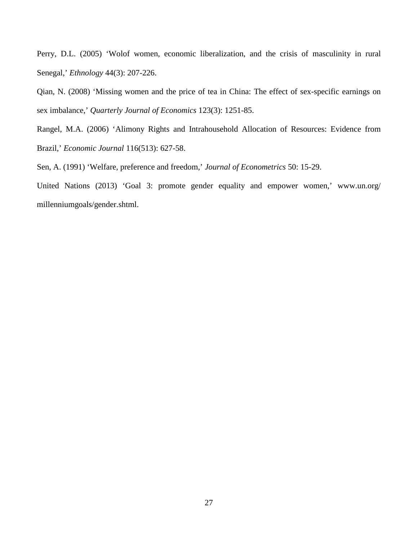Perry, D.L. (2005) 'Wolof women, economic liberalization, and the crisis of masculinity in rural Senegal,' *Ethnology* 44(3): 207-226.

Qian, N. (2008) 'Missing women and the price of tea in China: The effect of sex-specific earnings on sex imbalance,' *Quarterly Journal of Economics* 123(3): 1251-85.

Rangel, M.A. (2006) 'Alimony Rights and Intrahousehold Allocation of Resources: Evidence from Brazil,' *Economic Journal* 116(513): 627-58.

Sen, A. (1991) 'Welfare, preference and freedom,' *Journal of Econometrics* 50: 15-29.

United Nations (2013) 'Goal 3: promote gender equality and empower women,' www.un.org/ millenniumgoals/gender.shtml.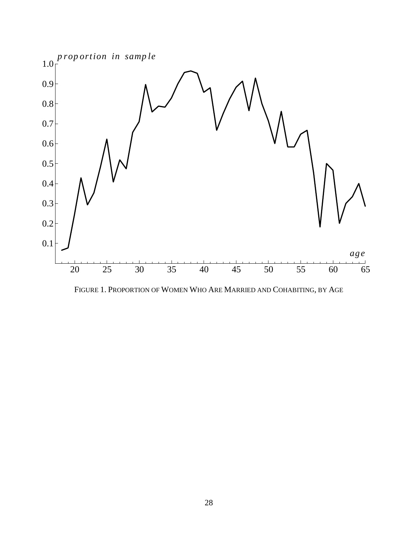

FIGURE 1. PROPORTION OF WOMEN WHO ARE MARRIED AND COHABITING, BY AGE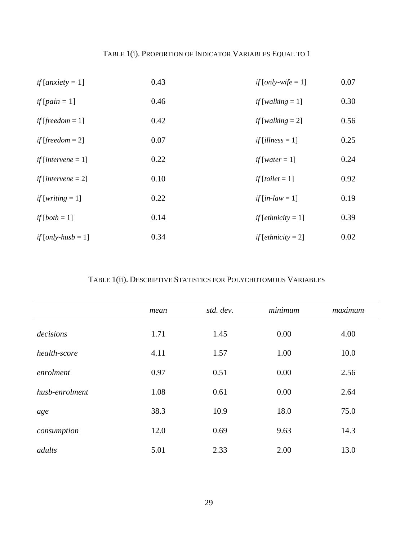# TABLE 1(i). PROPORTION OF INDICATOR VARIABLES EQUAL TO 1

| <i>if</i> [ <i>anxiety</i> = 1]      | 0.43 | if $[only-wife = 1]$                    | 0.07 |
|--------------------------------------|------|-----------------------------------------|------|
| if $[pain = 1]$                      | 0.46 | if $[walking = 1]$                      | 0.30 |
| if [freedom $= 1$ ]                  | 0.42 | if [walking $= 2$ ]                     | 0.56 |
| <i>if</i> [ <i>freedom</i> = 2]      | 0.07 | if $\lceil$ <i>illness</i> = 1 $\rceil$ | 0.25 |
| if $[intervene = 1]$                 | 0.22 | if [water = $1$ ]                       | 0.24 |
| <i>if</i> [ <i>intervene</i> $= 2$ ] | 0.10 | $if [tolet = 1]$                        | 0.92 |
| if [writing $= 1$ ]                  | 0.22 | if $(in-law = 1]$                       | 0.19 |
| if $[both = 1]$                      | 0.14 | $if [ethnicity = 1]$                    | 0.39 |
| if $\lfloor$ <i>only-husb</i> = 1]   | 0.34 | <i>if</i> [ <i>ethnicity</i> = 2]       | 0.02 |

# TABLE 1(ii). DESCRIPTIVE STATISTICS FOR POLYCHOTOMOUS VARIABLES

|                | mean | std. dev. | minimum | maximum |
|----------------|------|-----------|---------|---------|
| decisions      | 1.71 | 1.45      | 0.00    | 4.00    |
| health-score   | 4.11 | 1.57      | 1.00    | 10.0    |
| enrolment      | 0.97 | 0.51      | 0.00    | 2.56    |
| husb-enrolment | 1.08 | 0.61      | 0.00    | 2.64    |
| age            | 38.3 | 10.9      | 18.0    | 75.0    |
| consumption    | 12.0 | 0.69      | 9.63    | 14.3    |
| adults         | 5.01 | 2.33      | 2.00    | 13.0    |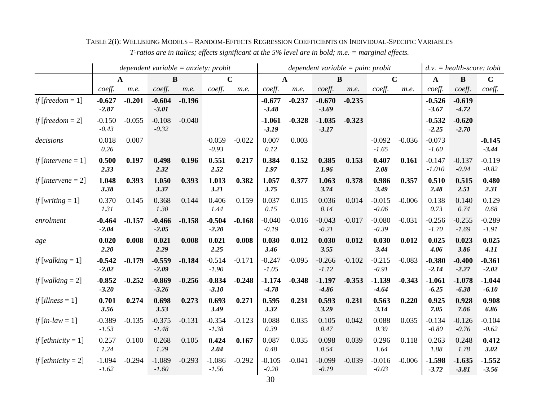|                                   | dependent variable = $anxiety$ : probit |              |                     |          |                     |             |                     |          | dependent variable = pain: probit |          | $d.v. = health-score: to bit$ |             |                      |                     |                     |
|-----------------------------------|-----------------------------------------|--------------|---------------------|----------|---------------------|-------------|---------------------|----------|-----------------------------------|----------|-------------------------------|-------------|----------------------|---------------------|---------------------|
|                                   |                                         | $\mathbf{A}$ | $\bf{B}$            |          |                     | $\mathbf C$ | $\mathbf{A}$        |          |                                   | $\bf{B}$ |                               | $\mathbf C$ | $\mathbf{A}$         | $\bf{B}$            | $\mathbf C$         |
|                                   | coeff.                                  | m.e.         | coeff.              | m.e.     | coeff.              | m.e.        | coeff.              | m.e.     | coeff.                            | m.e.     | coeff.                        | m.e.        | coeff.               | coeff.              | $\mathit{coeff}.$   |
| if [freedom = $1$ ]               | $-0.627$<br>$-2.87$                     | $-0.201$     | $-0.604$<br>$-3.01$ | $-0.196$ |                     |             | $-0.677$<br>$-3.48$ | $-0.237$ | $-0.670$<br>$-3.69$               | $-0.235$ |                               |             | $-0.526$<br>$-3.67$  | $-0.619$<br>$-4.72$ |                     |
| if [freedom $= 2$ ]               | $-0.150$<br>$-0.43$                     | $-0.055$     | $-0.108$<br>$-0.32$ | $-0.040$ |                     |             | $-1.061$<br>$-3.19$ | $-0.328$ | $-1.035$<br>$-3.17$               | $-0.323$ |                               |             | $-0.532$<br>$-2.25$  | $-0.620$<br>$-2.70$ |                     |
| decisions                         | 0.018<br>0.26                           | 0.007        |                     |          | $-0.059$<br>$-0.93$ | $-0.022$    | 0.007<br>0.12       | 0.003    |                                   |          | $-0.092$<br>$-1.65$           | $-0.036$    | $-0.073$<br>$-1.60$  |                     | $-0.145$<br>$-3.44$ |
| <i>if</i> [ <i>intervene</i> = 1] | 0.500<br>2.33                           | 0.197        | 0.498<br>2.32       | 0.196    | 0.551<br>2.52       | 0.217       | 0.384<br>1.97       | 0.152    | 0.385<br>1.96                     | 0.153    | 0.407<br>2.08                 | 0.161       | $-0.147$<br>$-1.010$ | $-0.137$<br>$-0.94$ | $-0.119$<br>$-0.82$ |
| if $[intervene = 2]$              | 1.048<br>3.38                           | 0.393        | 1.050<br>3.37       | 0.393    | 1.013<br>3.21       | 0.382       | 1.057<br>3.75       | 0.377    | 1.063<br>3.74                     | 0.378    | 0.986<br>3.49                 | 0.357       | 0.510<br>2.48        | 0.515<br>2.51       | 0.480<br>2.31       |
| <i>if</i> [ <i>writing</i> = 1]   | 0.370<br>1.31                           | 0.145        | 0.368<br>1.30       | 0.144    | 0.406<br>1.44       | 0.159       | 0.037<br>0.15       | 0.015    | 0.036<br>0.14                     | 0.014    | $-0.015$<br>$-0.06$           | $-0.006$    | 0.138<br>0.73        | 0.140<br>0.74       | 0.129<br>0.68       |
| enrolment                         | $-0.464$<br>$-2.04$                     | $-0.157$     | $-0.466$<br>$-2.05$ | $-0.158$ | $-0.504$<br>$-2.20$ | $-0.168$    | $-0.040$<br>$-0.19$ | $-0.016$ | $-0.043$<br>$-0.21$               | $-0.017$ | $-0.080$<br>$-0.39$           | $-0.031$    | $-0.256$<br>$-1.70$  | $-0.255$<br>$-1.69$ | $-0.289$<br>$-1.91$ |
| age                               | 0.020<br>2.20                           | 0.008        | 0.021<br>2.29       | 0.008    | 0.021<br>2.25       | 0.008       | 0.030<br>3.46       | 0.012    | 0.030<br>3.55                     | 0.012    | 0.030<br>3.44                 | 0.012       | 0.025<br>4.06        | 0.023<br>3.86       | 0.025<br>4.11       |
| if [walking $= 1$ ]               | $-0.542$<br>$-2.02$                     | $-0.179$     | $-0.559$<br>$-2.09$ | $-0.184$ | $-0.514$<br>$-1.90$ | $-0.171$    | $-0.247$<br>$-1.05$ | $-0.095$ | $-0.266$<br>$-1.12$               | $-0.102$ | $-0.215$<br>$-0.91$           | $-0.083$    | $-0.380$<br>$-2.14$  | $-0.400$<br>$-2.27$ | $-0.361$<br>$-2.02$ |
| if [walking $= 2$ ]               | $-0.852$<br>$-3.20$                     | $-0.252$     | $-0.869$<br>$-3.26$ | $-0.256$ | $-0.834$<br>$-3.10$ | $-0.248$    | $-1.174$<br>$-4.78$ | $-0.348$ | $-1.197$<br>$-4.86$               | $-0.353$ | $-1.139$<br>$-4.64$           | $-0.343$    | $-1.061$<br>$-6.25$  | $-1.078$<br>$-6.38$ | $-1.044$<br>$-6.10$ |
| if [illness $= 1$ ]               | 0.701<br>3.56                           | 0.274        | 0.698<br>3.53       | 0.273    | 0.693<br>3.49       | 0.271       | 0.595<br>3.32       | 0.231    | 0.593<br>3.29                     | 0.231    | 0.563<br>3.14                 | 0.220       | 0.925<br>7.05        | 0.928<br>7.06       | 0.908<br>6.86       |
| if $(in-law = 1]$                 | $-0.389$<br>$-1.53$                     | $-0.135$     | $-0.375$<br>$-1.48$ | $-0.131$ | $-0.354$<br>$-1.38$ | $-0.123$    | 0.088<br>0.39       | 0.035    | 0.105<br>0.47                     | 0.042    | 0.088<br>0.39                 | 0.035       | $-0.134$<br>$-0.80$  | $-0.126$<br>$-0.76$ | $-0.104$<br>$-0.62$ |
| $if [ethnicity = 1]$              | 0.257<br>1.24                           | 0.100        | 0.268<br>1.29       | 0.105    | 0.424<br>2.04       | 0.167       | 0.087<br>0.48       | 0.035    | 0.098<br>0.54                     | 0.039    | 0.296<br>1.64                 | 0.118       | 0.263<br>1.88        | 0.248<br>1.78       | 0.412<br>3.02       |
| <i>if</i> [ <i>ethnicity</i> = 2] | $-1.094$<br>$-1.62$                     | $-0.294$     | $-1.089$<br>$-1.60$ | $-0.293$ | $-1.086$<br>$-1.56$ | $-0.292$    | $-0.105$<br>$-0.20$ | $-0.041$ | $-0.099$<br>$-0.19$               | $-0.039$ | $-0.016$<br>$-0.03$           | $-0.006$    | $-1.598$<br>$-3.72$  | $-1.635$<br>$-3.81$ | $-1.552$<br>$-3.56$ |

TABLE 2(i): WELLBEING MODELS – RANDOM-EFFECTS REGRESSION COEFFICIENTS ON INDIVIDUAL-SPECIFIC VARIABLES *T-ratios are in italics; effects significant at the 5% level are in bold; m.e. = marginal effects.*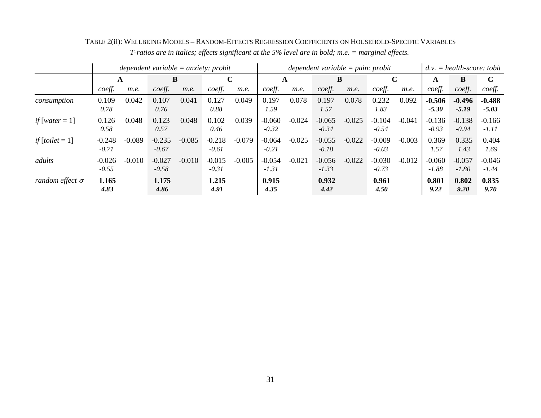|                         |                     | dependent variable = anxiety: probit |                     |          |                     |          |                     |          | $dependent\ variable = pain: probit$ |          | $=$ health-score: tobit<br>d.v. |              |                     |                     |                     |
|-------------------------|---------------------|--------------------------------------|---------------------|----------|---------------------|----------|---------------------|----------|--------------------------------------|----------|---------------------------------|--------------|---------------------|---------------------|---------------------|
|                         | A                   |                                      | B                   |          | $\mathbf C$         |          |                     | A        |                                      | B        |                                 | $\mathbf{C}$ | A                   | B                   | $\mathbf C$         |
|                         | coeff.              | m.e.                                 | coeff.              | m.e.     | coeff.              | m.e.     | coeff.              | m.e.     | coeff.                               | m.e.     | coeff.                          | m.e.         | coeff.              | coeff.              | coeff.              |
| consumption             | 0.109<br>0.78       | 0.042                                | 0.107<br>0.76       | 0.041    | 0.127<br>0.88       | 0.049    | 0.197<br>1.59       | 0.078    | 0.197<br>1.57                        | 0.078    | 0.232<br>1.83                   | 0.092        | $-0.506$<br>$-5.30$ | $-0.496$<br>$-5.19$ | $-0.488$<br>$-5.03$ |
| if [water = 1]          | 0.126<br>0.58       | 0.048                                | 0.123<br>0.57       | 0.048    | 0.102<br>0.46       | 0.039    | $-0.060$<br>$-0.32$ | $-0.024$ | $-0.065$<br>$-0.34$                  | $-0.025$ | $-0.104$<br>$-0.54$             | $-0.041$     | $-0.136$<br>$-0.93$ | $-0.138$<br>$-0.94$ | $-0.166$<br>$-1.11$ |
| <i>if</i> $[tolet = 1]$ | $-0.248$<br>$-0.71$ | $-0.089$                             | $-0.235$<br>$-0.67$ | $-0.085$ | $-0.218$<br>$-0.61$ | $-0.079$ | $-0.064$<br>$-0.21$ | $-0.025$ | $-0.055$<br>$-0.18$                  | $-0.022$ | $-0.009$<br>$-0.03$             | $-0.003$     | 0.369<br>1.57       | 0.335<br>1.43       | 0.404<br>1.69       |
| adults                  | $-0.026$<br>$-0.55$ | $-0.010$                             | $-0.027$<br>$-0.58$ | $-0.010$ | $-0.015$<br>$-0.31$ | $-0.005$ | $-0.054$<br>$-1.31$ | $-0.021$ | $-0.056$<br>$-1.33$                  | $-0.022$ | $-0.030$<br>$-0.73$             | $-0.012$     | $-0.060$<br>$-1.88$ | $-0.057$<br>$-1.80$ | $-0.046$<br>$-1.44$ |
| random effect $\sigma$  | 1.165<br>4.83       |                                      | 1.175<br>4.86       |          | 1.215<br>4.91       |          | 0.915<br>4.35       |          | 0.932<br>4.42                        |          | 0.961<br>4.50                   |              | 0.801<br>9.22       | 0.802<br>9.20       | 0.835<br>9.70       |

TABLE 2(ii): WELLBEING MODELS – RANDOM-EFFECTS REGRESSION COEFFICIENTS ON HOUSEHOLD-SPECIFIC VARIABLES *T-ratios are in italics; effects significant at the 5% level are in bold; m.e. = marginal effects.*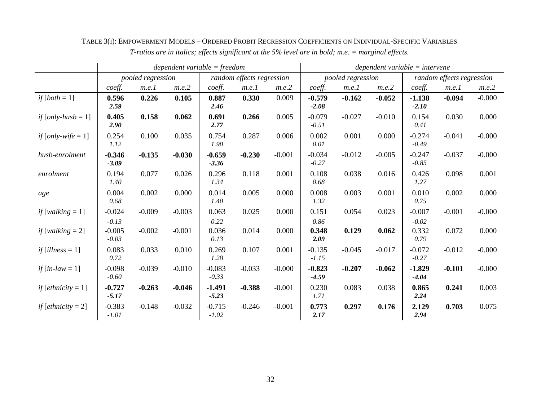|                                                |                     |                   |          | $dependent variable = freedom$ |                           | $dependent\ variable =$ intervene |                     |                   |          |                     |                           |          |
|------------------------------------------------|---------------------|-------------------|----------|--------------------------------|---------------------------|-----------------------------------|---------------------|-------------------|----------|---------------------|---------------------------|----------|
|                                                |                     | pooled regression |          |                                | random effects regression |                                   |                     | pooled regression |          |                     | random effects regression |          |
|                                                | coeff.              | m.e.1             | m.e.2    | coeff.                         | m.e.1                     | m.e.2                             | coeff.              | m.e.1             | m.e.2    | coeff.              | m.e.1                     | m.e.2    |
| $if [both = 1]$                                | 0.596<br>2.59       | 0.226             | 0.105    | 0.887<br>2.46                  | 0.330                     | 0.009                             | $-0.579$<br>$-2.08$ | $-0.162$          | $-0.052$ | $-1.138$<br>$-2.10$ | $-0.094$                  | $-0.000$ |
| if $\lceil \text{only-hush} \rceil = 1 \rceil$ | 0.405<br>2.90       | 0.158             | 0.062    | 0.691<br>2.77                  | 0.266                     | 0.005                             | $-0.079$<br>$-0.51$ | $-0.027$          | $-0.010$ | 0.154<br>0.41       | 0.030                     | 0.000    |
| if [only-wife $= 1$ ]                          | 0.254<br>1.12       | 0.100             | 0.035    | 0.754<br>1.90                  | 0.287                     | 0.006                             | 0.002<br>0.01       | 0.001             | 0.000    | $-0.274$<br>$-0.49$ | $-0.041$                  | $-0.000$ |
| husb-enrolment                                 | $-0.346$<br>$-3.09$ | $-0.135$          | $-0.030$ | $-0.659$<br>$-3.36$            | $-0.230$                  | $-0.001$                          | $-0.034$<br>$-0.27$ | $-0.012$          | $-0.005$ | $-0.247$<br>$-0.85$ | $-0.037$                  | $-0.000$ |
| enrolment                                      | 0.194<br>1.40       | 0.077             | 0.026    | 0.296<br>1.34                  | 0.118                     | 0.001                             | 0.108<br>0.68       | 0.038             | 0.016    | 0.426<br>1.27       | 0.098                     | 0.001    |
| age                                            | 0.004<br>0.68       | 0.002             | 0.000    | 0.014<br>1.40                  | 0.005                     | 0.000                             | 0.008<br>1.32       | 0.003             | 0.001    | 0.010<br>0.75       | 0.002                     | 0.000    |
| if $[walking = 1]$                             | $-0.024$<br>$-0.13$ | $-0.009$          | $-0.003$ | 0.063<br>0.22                  | 0.025                     | 0.000                             | 0.151<br>0.86       | 0.054             | 0.023    | $-0.007$<br>$-0.02$ | $-0.001$                  | $-0.000$ |
| if $[walking = 2]$                             | $-0.005$<br>$-0.03$ | $-0.002$          | $-0.001$ | 0.036<br>0.13                  | 0.014                     | 0.000                             | 0.348<br>2.09       | 0.129             | 0.062    | 0.332<br>0.79       | 0.072                     | 0.000    |
| if [illness = $1$ ]                            | 0.083<br>0.72       | 0.033             | 0.010    | 0.269<br>1.28                  | 0.107                     | 0.001                             | $-0.135$<br>$-1.15$ | $-0.045$          | $-0.017$ | $-0.072$<br>$-0.27$ | $-0.012$                  | $-0.000$ |
| if $(in-law = 1]$                              | $-0.098$<br>$-0.60$ | $-0.039$          | $-0.010$ | $-0.083$<br>$-0.33$            | $-0.033$                  | $-0.000$                          | $-0.823$<br>$-4.59$ | $-0.207$          | $-0.062$ | $-1.829$<br>$-4.04$ | $-0.101$                  | $-0.000$ |
| <i>if</i> [ <i>ethnicity</i> = 1]              | $-0.727$<br>$-5.17$ | $-0.263$          | $-0.046$ | $-1.491$<br>$-5.23$            | $-0.388$                  | $-0.001$                          | 0.230<br>1.71       | 0.083             | 0.038    | 0.865<br>2.24       | 0.241                     | 0.003    |
| <i>if</i> [ <i>ethnicity</i> = 2]              | $-0.383$<br>$-1.01$ | $-0.148$          | $-0.032$ | $-0.715$<br>$-1.02$            | $-0.246$                  | $-0.001$                          | 0.773<br>2.17       | 0.297             | 0.176    | 2.129<br>2.94       | 0.703                     | 0.075    |

TABLE 3(i): EMPOWERMENT MODELS – ORDERED PROBIT REGRESSION COEFFICIENTS ON INDIVIDUAL-SPECIFIC VARIABLES *T-ratios are in italics; effects significant at the 5% level are in bold; m.e. = marginal effects.*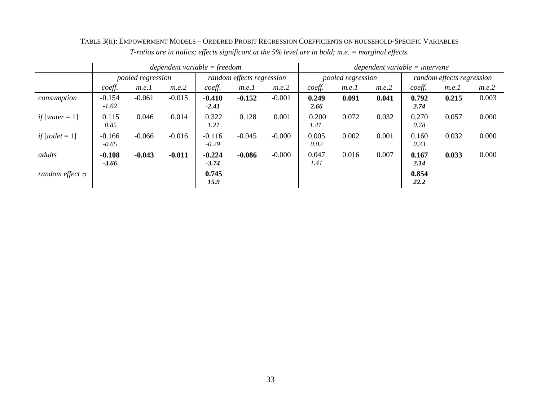|                                |                     |                   |          | $dependent\ variable = freedom$ |                           |          | $dependent\ variable =$ intervene |                   |       |               |                           |       |  |  |
|--------------------------------|---------------------|-------------------|----------|---------------------------------|---------------------------|----------|-----------------------------------|-------------------|-------|---------------|---------------------------|-------|--|--|
|                                |                     | pooled regression |          |                                 | random effects regression |          |                                   | pooled regression |       |               | random effects regression |       |  |  |
|                                | coeff.              | m.e.1             | m.e.2    | coeff.                          | m.e.1                     | m.e.2    | coeff.                            | m.e.1             | m.e.2 | coeff.        | m.e.1                     | m.e.2 |  |  |
| consumption                    | $-0.154$<br>$-1.62$ | $-0.061$          | $-0.015$ | $-0.410$<br>$-2.41$             | $-0.152$                  | $-0.001$ | 0.249<br>2.66                     | 0.091             | 0.041 | 0.792<br>2.74 | 0.215                     | 0.003 |  |  |
| if [water = $1$ ]              | 0.115<br>0.85       | 0.046             | 0.014    | 0.322<br>1.21                   | 0.128                     | 0.001    | 0.200<br>1.41                     | 0.072             | 0.032 | 0.270<br>0.78 | 0.057                     | 0.000 |  |  |
| <i>if</i> [ <i>toilet</i> = 1] | $-0.166$<br>$-0.65$ | $-0.066$          | $-0.016$ | $-0.116$<br>$-0.29$             | $-0.045$                  | $-0.000$ | 0.005<br>0.02                     | 0.002             | 0.001 | 0.160<br>0.33 | 0.032                     | 0.000 |  |  |
| adults                         | $-0.108$<br>$-3.66$ | $-0.043$          | $-0.011$ | $-0.224$<br>$-3.74$             | $-0.086$                  | $-0.000$ | 0.047<br>1.41                     | 0.016             | 0.007 | 0.167<br>2.14 | 0.033                     | 0.000 |  |  |
| random effect $\sigma$         |                     |                   |          | 0.745<br>15.9                   |                           |          |                                   |                   |       | 0.854<br>22.2 |                           |       |  |  |

TABLE 3(ii): EMPOWERMENT MODELS – ORDERED PROBIT REGRESSION COEFFICIENTS ON HOUSEHOLD-SPECIFIC VARIABLES *T-ratios are in italics; effects significant at the 5% level are in bold; m.e. = marginal effects.*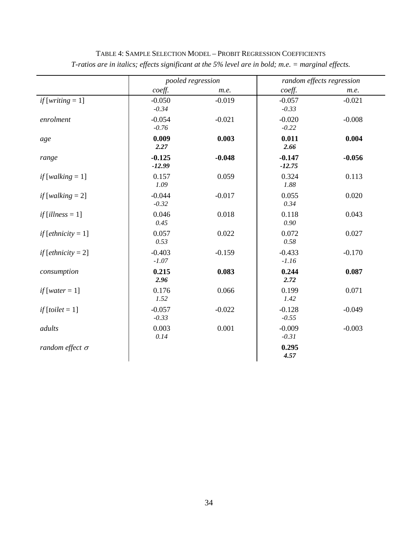|                                    |                      | pooled regression |                      | random effects regression |
|------------------------------------|----------------------|-------------------|----------------------|---------------------------|
|                                    | coeff.               | m.e.              | coeff.               | m.e.                      |
| <i>if</i> [ <i>writing</i> $= 1$ ] | $-0.050$<br>$-0.34$  | $-0.019$          | $-0.057$<br>$-0.33$  | $-0.021$                  |
| enrolment                          | $-0.054$<br>$-0.76$  | $-0.021$          | $-0.020$<br>$-0.22$  | $-0.008$                  |
| age                                | 0.009<br>2.27        | 0.003             | 0.011<br>2.66        | 0.004                     |
| range                              | $-0.125$<br>$-12.99$ | $-0.048$          | $-0.147$<br>$-12.75$ | $-0.056$                  |
| if $[walking = 1]$                 | 0.157<br>1.09        | 0.059             | 0.324<br>1.88        | 0.113                     |
| $if [walking = 2]$                 | $-0.044$<br>$-0.32$  | $-0.017$          | 0.055<br>0.34        | 0.020                     |
| if $\lceil$ <i>illness</i> = 1]    | 0.046<br>0.45        | 0.018             | 0.118<br>0.90        | 0.043                     |
| <i>if</i> [ <i>ethnicity</i> = 1]  | 0.057<br>0.53        | 0.022             | 0.072<br>0.58        | 0.027                     |
| <i>if</i> [ <i>ethnicity</i> = 2]  | $-0.403$<br>$-1.07$  | $-0.159$          | $-0.433$<br>$-1.16$  | $-0.170$                  |
| consumption                        | 0.215<br>2.96        | 0.083             | 0.244<br>2.72        | 0.087                     |
| $if[water = 1]$                    | 0.176<br>1.52        | 0.066             | 0.199<br>1.42        | 0.071                     |
| <i>if</i> $[tolet = 1]$            | $-0.057$<br>$-0.33$  | $-0.022$          | $-0.128$<br>$-0.55$  | $-0.049$                  |
| adults                             | 0.003<br>0.14        | 0.001             | $-0.009$<br>$-0.31$  | $-0.003$                  |
| random effect $\sigma$             |                      |                   | 0.295<br>4.57        |                           |

# TABLE 4: SAMPLE SELECTION MODEL – PROBIT REGRESSION COEFFICIENTS *T-ratios are in italics; effects significant at the 5% level are in bold; m.e. = marginal effects.*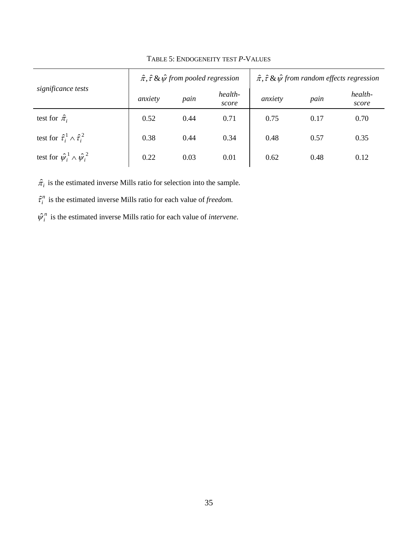|                                                 |         | $\hat{\pi}, \hat{\tau}$ & $\hat{\psi}$ from pooled regression |                  |         |      | $\hat{\pi}, \hat{\tau}$ & $\hat{\psi}$ from random effects regression |
|-------------------------------------------------|---------|---------------------------------------------------------------|------------------|---------|------|-----------------------------------------------------------------------|
| significance tests                              | anxiety | pain                                                          | health-<br>score | anxiety | pain | health-<br>score                                                      |
| test for $\hat{\pi}_i$                          | 0.52    | 0.44                                                          | 0.71             | 0.75    | 0.17 | 0.70                                                                  |
| test for $\hat{\tau}_i^1 \wedge \hat{\tau}_i^2$ | 0.38    | 0.44                                                          | 0.34             | 0.48    | 0.57 | 0.35                                                                  |
| test for $\hat{\psi}_i^1 \wedge \hat{\psi}_i^2$ | 0.22    | 0.03                                                          | 0.01             | 0.62    | 0.48 | 0.12                                                                  |

## TABLE 5: ENDOGENEITY TEST *P*-VALUES

 $\hat{\pi}_i$  is the estimated inverse Mills ratio for selection into the sample.

 $\hat{\tau}_i^n$  is the estimated inverse Mills ratio for each value of *freedom*.

 $\hat{\psi}_i^n$  is the estimated inverse Mills ratio for each value of *intervene*.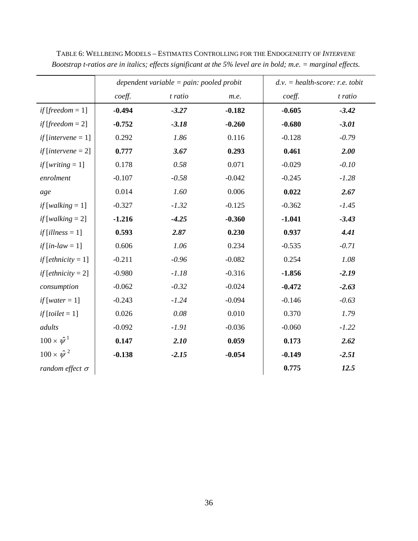|                                      |          | dependent variable $=$ pain: pooled probit |          | $d.v. = health-score: r.e.$ tobit |         |  |  |  |
|--------------------------------------|----------|--------------------------------------------|----------|-----------------------------------|---------|--|--|--|
|                                      | coeff.   | t ratio                                    | m.e.     | coeff.                            | t ratio |  |  |  |
| if [freedom $= 1$ ]                  | $-0.494$ | $-3.27$                                    | $-0.182$ | $-0.605$                          | $-3.42$ |  |  |  |
| if [freedom $= 2$ ]                  | $-0.752$ | $-3.18$                                    | $-0.260$ | $-0.680$                          | $-3.01$ |  |  |  |
| if $[intervene = 1]$                 | 0.292    | 1.86                                       | 0.116    | $-0.128$                          | $-0.79$ |  |  |  |
| if $[intervene = 2]$                 | 0.777    | 3.67                                       | 0.293    | 0.461                             | 2.00    |  |  |  |
| if [writing $= 1$ ]                  | 0.178    | 0.58                                       | 0.071    | $-0.029$                          | $-0.10$ |  |  |  |
| enrolment                            | $-0.107$ | $-0.58$                                    | $-0.042$ | $-0.245$                          | $-1.28$ |  |  |  |
| age                                  | 0.014    | 1.60                                       | 0.006    | 0.022                             | 2.67    |  |  |  |
| if [walking $= 1$ ]                  | $-0.327$ | $-1.32$                                    | $-0.125$ | $-0.362$                          | $-1.45$ |  |  |  |
| if [walking $= 2$ ]                  | $-1.216$ | $-4.25$                                    | $-0.360$ | $-1.041$                          | $-3.43$ |  |  |  |
| $if [illness = 1]$                   | 0.593    | 2.87                                       | 0.230    | 0.937                             | 4.41    |  |  |  |
| if $\lceil in\text{-}law = 1 \rceil$ | 0.606    | 1.06                                       | 0.234    | $-0.535$                          | $-0.71$ |  |  |  |
| <i>if</i> [ <i>ethnicity</i> = 1]    | $-0.211$ | $-0.96$                                    | $-0.082$ | 0.254                             | 1.08    |  |  |  |
| <i>if</i> [ <i>ethnicity</i> = 2]    | $-0.980$ | $-1.18$                                    | $-0.316$ | $-1.856$                          | $-2.19$ |  |  |  |
| consumption                          | $-0.062$ | $-0.32$                                    | $-0.024$ | $-0.472$                          | $-2.63$ |  |  |  |
| $if[water = 1]$                      | $-0.243$ | $-1.24$                                    | $-0.094$ | $-0.146$                          | $-0.63$ |  |  |  |
| $if [tolet = 1]$                     | 0.026    | 0.08                                       | 0.010    | 0.370                             | 1.79    |  |  |  |
| adults                               | $-0.092$ | $-1.91$                                    | $-0.036$ | $-0.060$                          | $-1.22$ |  |  |  |
| $100 \times \hat{\psi}^1$            | 0.147    | 2.10                                       | 0.059    | 0.173                             | 2.62    |  |  |  |
| $100 \times \hat{\psi}^2$            | $-0.138$ | $-2.15$                                    | $-0.054$ | $-0.149$                          | $-2.51$ |  |  |  |
| random effect $\sigma$               |          |                                            |          | 0.775                             | 12.5    |  |  |  |

TABLE 6: WELLBEING MODELS – ESTIMATES CONTROLLING FOR THE ENDOGENEITY OF *INTERVENE Bootstrap t-ratios are in italics; effects significant at the 5% level are in bold; m.e. = marginal effects.*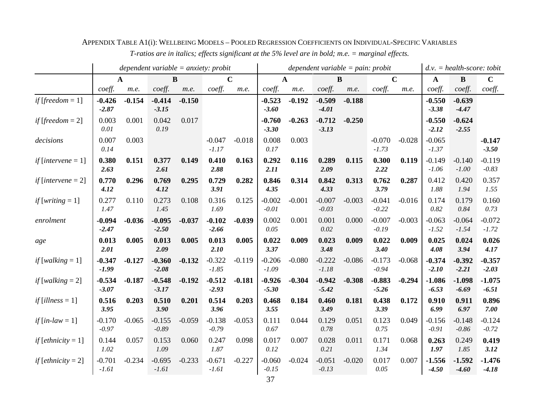|                                   | dependent variable = $anxiety$ : probit |              |                     |          |                     |             |                     |          | dependent variable = pain: probit |          | $d.v. = health-score: to bit$ |             |                     |                     |                     |
|-----------------------------------|-----------------------------------------|--------------|---------------------|----------|---------------------|-------------|---------------------|----------|-----------------------------------|----------|-------------------------------|-------------|---------------------|---------------------|---------------------|
|                                   |                                         | $\mathbf{A}$ | $\bf{B}$            |          |                     | $\mathbf C$ | $\mathbf{A}$        |          |                                   | B        |                               | $\mathbf C$ | $\mathbf{A}$        | $\bf{B}$            | $\mathbf C$         |
|                                   | coeff.                                  | m.e.         | coeff.              | m.e.     | coeff.              | m.e.        | coeff.              | m.e.     | coeff.                            | m.e.     | coeff.                        | m.e.        | coeff.              | coeff.              | coeff.              |
| if [freedom = $1$ ]               | $-0.426$<br>$-2.87$                     | $-0.154$     | $-0.414$<br>$-3.15$ | $-0.150$ |                     |             | $-0.523$<br>$-3.60$ | $-0.192$ | $-0.509$<br>$-4.01$               | $-0.188$ |                               |             | $-0.550$<br>$-3.38$ | $-0.639$<br>$-4.47$ |                     |
| if [freedom $= 2$ ]               | 0.003<br>0.01                           | 0.001        | 0.042<br>0.19       | 0.017    |                     |             | $-0.760$<br>$-3.30$ | $-0.263$ | $-0.712$<br>$-3.13$               | $-0.250$ |                               |             | $-0.550$<br>$-2.12$ | $-0.624$<br>$-2.55$ |                     |
| decisions                         | 0.007<br>0.14                           | 0.003        |                     |          | $-0.047$<br>$-1.17$ | $-0.018$    | 0.008<br>0.17       | 0.003    |                                   |          | $-0.070$<br>$-1.73$           | $-0.028$    | $-0.065$<br>$-1.37$ |                     | $-0.147$<br>$-3.50$ |
| <i>if</i> [ <i>intervene</i> = 1] | 0.380<br>2.63                           | 0.151        | 0.377<br>2.61       | 0.149    | 0.410<br>2.88       | 0.163       | 0.292<br>2.11       | 0.116    | 0.289<br>2.09                     | 0.115    | 0.300<br>2.22                 | 0.119       | $-0.149$<br>$-1.06$ | $-0.140$<br>$-1.00$ | $-0.119$<br>$-0.83$ |
| if [intervene $= 2$ ]             | 0.770<br>4.12                           | 0.296        | 0.769<br>4.12       | 0.295    | 0.729<br>3.91       | 0.282       | 0.846<br>4.35       | 0.314    | 0.842<br>4.33                     | 0.313    | 0.762<br>3.79                 | 0.287       | 0.412<br>1.88       | 0.420<br>1.94       | 0.357<br>1.55       |
| $if[writing = 1]$                 | 0.277<br>1.47                           | 0.110        | 0.273<br>1.45       | 0.108    | 0.316<br>1.69       | 0.125       | $-0.002$<br>$-0.01$ | $-0.001$ | $-0.007$<br>$-0.03$               | $-0.003$ | $-0.041$<br>$-0.22$           | $-0.016$    | 0.174<br>0.82       | 0.179<br>0.84       | 0.160<br>0.73       |
| enrolment                         | $-0.094$<br>$-2.47$                     | $-0.036$     | $-0.095$<br>$-2.50$ | $-0.037$ | $-0.102$<br>$-2.66$ | $-0.039$    | 0.002<br>0.05       | 0.001    | 0.001<br>0.02                     | 0.000    | $-0.007$<br>$-0.19$           | $-0.003$    | $-0.063$<br>$-1.52$ | $-0.064$<br>$-1.54$ | $-0.072$<br>$-1.72$ |
| age                               | 0.013<br>2.01                           | 0.005        | 0.013<br>2.09       | 0.005    | 0.013<br>2.10       | 0.005       | 0.022<br>3.37       | 0.009    | 0.023<br>3.48                     | 0.009    | 0.022<br>3.40                 | 0.009       | 0.025<br>4.08       | 0.024<br>3.94       | 0.026<br>4.17       |
| $if [walking = 1]$                | $-0.347$<br>$-1.99$                     | $-0.127$     | $-0.360$<br>$-2.08$ | $-0.132$ | $-0.322$<br>$-1.85$ | $-0.119$    | $-0.206$<br>$-1.09$ | $-0.080$ | $-0.222$<br>$-1.18$               | $-0.086$ | $-0.173$<br>$-0.94$           | $-0.068$    | $-0.374$<br>$-2.10$ | $-0.392$<br>$-2.21$ | $-0.357$<br>$-2.03$ |
| $if [walking = 2]$                | $-0.534$<br>$-3.07$                     | $-0.187$     | $-0.548$<br>$-3.17$ | $-0.192$ | $-0.512$<br>$-2.93$ | $-0.181$    | $-0.926$<br>$-5.30$ | $-0.304$ | $-0.942$<br>$-5.42$               | $-0.308$ | $-0.883$<br>$-5.26$           | $-0.294$    | $-1.086$<br>$-6.53$ | $-1.098$<br>$-6.69$ | $-1.075$<br>$-6.51$ |
| if [illness $= 1$ ]               | 0.516<br>3.95                           | 0.203        | 0.510<br>3.90       | 0.201    | 0.514<br>3.96       | 0.203       | 0.468<br>3.55       | 0.184    | 0.460<br>3.49                     | 0.181    | 0.438<br>3.39                 | 0.172       | 0.910<br>6.99       | 0.911<br>6.97       | 0.896<br>7.00       |
| if $(in-law = 1]$                 | $-0.170$<br>$-0.97$                     | $-0.065$     | $-0.155$<br>$-0.89$ | $-0.059$ | $-0.138$<br>$-0.79$ | $-0.053$    | 0.111<br>0.67       | 0.044    | 0.129<br>0.78                     | 0.051    | 0.123<br>0.75                 | 0.049       | $-0.156$<br>$-0.91$ | $-0.148$<br>$-0.86$ | $-0.124$<br>$-0.72$ |
| $if [ethnicity = 1]$              | 0.144<br>1.02                           | 0.057        | 0.153<br>1.09       | 0.060    | 0.247<br>1.87       | 0.098       | 0.017<br>0.12       | 0.007    | 0.028<br>0.21                     | 0.011    | 0.171<br>1.34                 | 0.068       | 0.263<br>1.97       | 0.249<br>1.85       | 0.419<br>3.12       |
| <i>if</i> [ <i>ethnicity</i> = 2] | $-0.701$<br>$-1.61$                     | $-0.234$     | $-0.695$<br>$-1.61$ | $-0.233$ | $-0.671$<br>$-1.61$ | $-0.227$    | $-0.060$<br>$-0.15$ | $-0.024$ | $-0.051$<br>$-0.13$               | $-0.020$ | 0.017<br>0.05                 | 0.007       | $-1.556$<br>$-4.50$ | $-1.592$<br>$-4.60$ | $-1.476$<br>$-4.18$ |

APPENDIX TABLE A1(i): WELLBEING MODELS – POOLED REGRESSION COEFFICIENTS ON INDIVIDUAL-SPECIFIC VARIABLES

*T-ratios are in italics; effects significant at the 5% level are in bold; m.e. = marginal effects.*